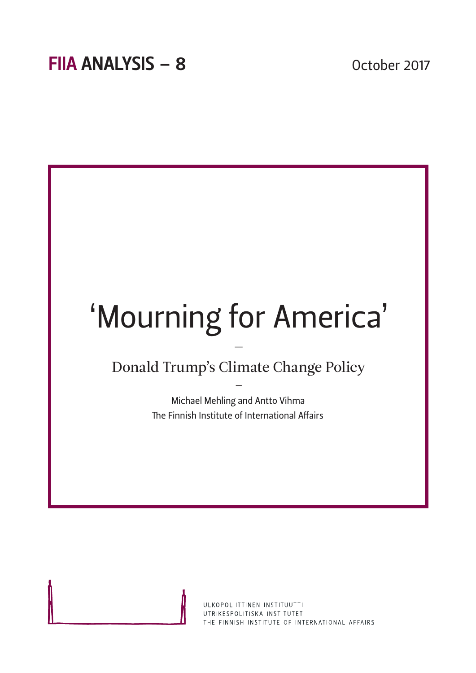

ULKOPOLIITTINEN INSTITUUTTI UTRIKESPOLITISKA INSTITUTET THE FINNISH INSTITUTE OF INTERNATIONAL AFFAIRS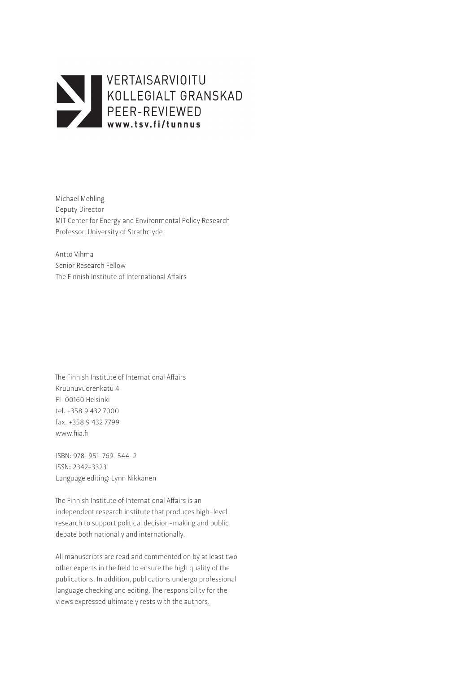

Michael Mehling Deputy Director MIT Center for Energy and Environmental Policy Research Professor, University of Strathclyde

Antto Vihma Senior Research Fellow The Finnish Institute of International Affairs

The Finnish Institute of International Affairs Kruunuvuorenkatu 4 FI-00160 Helsinki tel. +358 9 432 7000 fax. +358 9 432 7799 www.fiia.fi

ISBN: 978-951-769-544-2 ISSN: 2342-3323 Language editing: Lynn Nikkanen

The Finnish Institute of International Affairs is an independent research institute that produces high-level research to support political decision-making and public debate both nationally and internationally.

All manuscripts are read and commented on by at least two other experts in the field to ensure the high quality of the publications. In addition, publications undergo professional language checking and editing. The responsibility for the views expressed ultimately rests with the authors.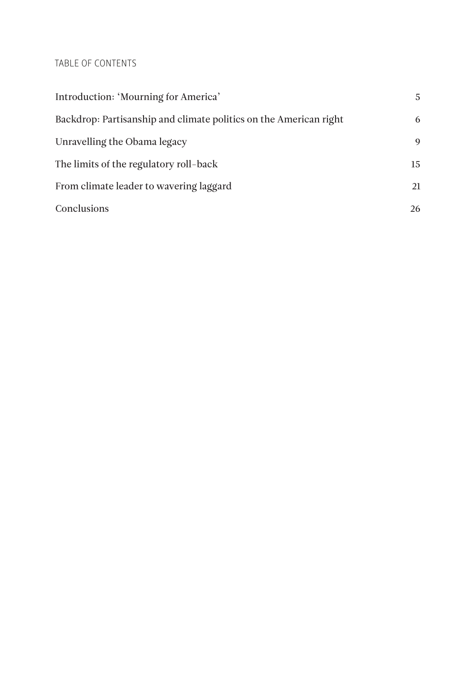# TABLE OF CONTENTS

| Introduction: 'Mourning for America'                              | 5  |
|-------------------------------------------------------------------|----|
| Backdrop: Partisanship and climate politics on the American right | 6  |
| Unravelling the Obama legacy                                      | 9  |
| The limits of the regulatory roll-back                            | 15 |
| From climate leader to wavering laggard                           | 21 |
| Conclusions                                                       | 26 |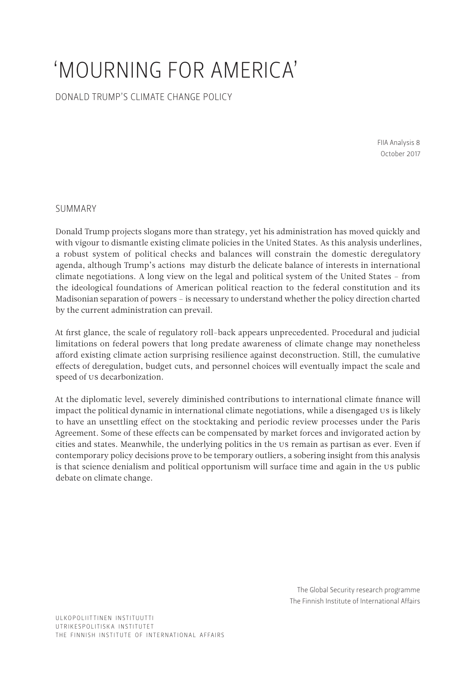# 'MOURNING FOR AMERICA'

DONALD TRUMP'S CLIMATE CHANGE POLICY

FIIA Analysis 8 October 2017

# SUMMARY

Donald Trump projects slogans more than strategy, yet his administration has moved quickly and with vigour to dismantle existing climate policies in the United States. As this analysis underlines, a robust system of political checks and balances will constrain the domestic deregulatory agenda, although Trump's actions may disturb the delicate balance of interests in international climate negotiations. A long view on the legal and political system of the United States – from the ideological foundations of American political reaction to the federal constitution and its Madisonian separation of powers – is necessary to understand whether the policy direction charted by the current administration can prevail.

At first glance, the scale of regulatory roll-back appears unprecedented. Procedural and judicial limitations on federal powers that long predate awareness of climate change may nonetheless afford existing climate action surprising resilience against deconstruction. Still, the cumulative effects of deregulation, budget cuts, and personnel choices will eventually impact the scale and speed of US decarbonization.

At the diplomatic level, severely diminished contributions to international climate finance will impact the political dynamic in international climate negotiations, while a disengaged US is likely to have an unsettling effect on the stocktaking and periodic review processes under the Paris Agreement. Some of these effects can be compensated by market forces and invigorated action by cities and states. Meanwhile, the underlying politics in the US remain as partisan as ever. Even if contemporary policy decisions prove to be temporary outliers, a sobering insight from this analysis is that science denialism and political opportunism will surface time and again in the US public debate on climate change.

> The Global Security research programme The Finnish Institute of International Affairs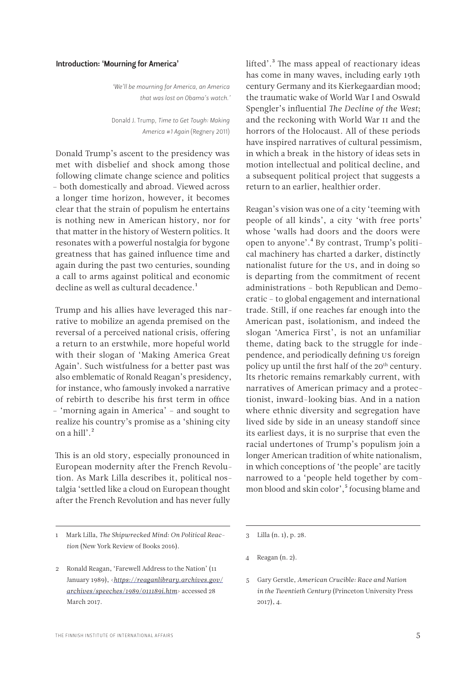#### <span id="page-4-0"></span>Introduction: 'Mourning for America'

*'We'll be mourning for America, an America that was lost on Obama's watch.'* 

Donald J. Trump, *Time to Get Tough: Making America #1 Again* (Regnery 2011)

Donald Trump's ascent to the presidency was met with disbelief and shock among those following climate change science and politics – both domestically and abroad. Viewed across a longer time horizon, however, it becomes clear that the strain of populism he entertains is nothing new in American history, nor for that matter in the history of Western politics. It resonates with a powerful nostalgia for bygone greatness that has gained influence time and again during the past two centuries, sounding a call to arms against political and economic decline as well as cultural decadence.<sup>1</sup>

Trump and his allies have leveraged this narrative to mobilize an agenda premised on the reversal of a perceived national crisis, offering a return to an erstwhile, more hopeful world with their slogan of 'Making America Great Again'. Such wistfulness for a better past was also emblematic of Ronald Reagan's presidency, for instance, who famously invoked a narrative of rebirth to describe his first term in office – 'morning again in America' – and sought to realize his country's promise as a 'shining city on a hill'. $^2$ 

This is an old story, especially pronounced in European modernity after the French Revolution. As Mark Lilla describes it, political nostalgia 'settled like a cloud on European thought after the French Revolution and has never fully

1 Mark Lilla, *The Shipwrecked Mind: On Political Reaction* (New York Review of Books 2016).

lifted'.<sup>3</sup> The mass appeal of reactionary ideas has come in many waves, including early 19th century Germany and its Kierkegaardian mood; the traumatic wake of World War I and Oswald Spengler's influential *The Decline of the West*; and the reckoning with World War II and the horrors of the Holocaust. All of these periods have inspired narratives of cultural pessimism, in which a break in the history of ideas sets in motion intellectual and political decline, and a subsequent political project that suggests a return to an earlier, healthier order.

Reagan's vision was one of a city 'teeming with people of all kinds', a city 'with free ports' whose 'walls had doors and the doors were open to anyone'.4 By contrast, Trump's political machinery has charted a darker, distinctly nationalist future for the US, and in doing so is departing from the commitment of recent administrations – both Republican and Democratic – to global engagement and international trade. Still, if one reaches far enough into the American past, isolationism, and indeed the slogan 'America First', is not an unfamiliar theme, dating back to the struggle for independence, and periodically defining US foreign policy up until the first half of the 20<sup>th</sup> century. Its rhetoric remains remarkably current, with narratives of American primacy and a protectionist, inward-looking bias. And in a nation where ethnic diversity and segregation have lived side by side in an uneasy standoff since its earliest days, it is no surprise that even the racial undertones of Trump's populism join a longer American tradition of white nationalism, in which conceptions of 'the people' are tacitly narrowed to a 'people held together by common blood and skin color',<sup>5</sup> focusing blame and

4 Reagan (n. 2).

<sup>2</sup> Ronald Reagan, 'Farewell Address to the Nation' (11 January 1989), <*[https://reaganlibrary.archives.gov/](https://reaganlibrary.archives.gov/archives/speeches/1989/011189i.htm) [archives/speeches/1989/011189i.htm](https://reaganlibrary.archives.gov/archives/speeches/1989/011189i.htm)*> accessed 28 March 2017.

<sup>3</sup> Lilla (n. 1), p. 28.

<sup>5</sup> Gary Gerstle, *American Crucible: Race and Nation in the Twentieth Century* (Princeton University Press 2017), 4.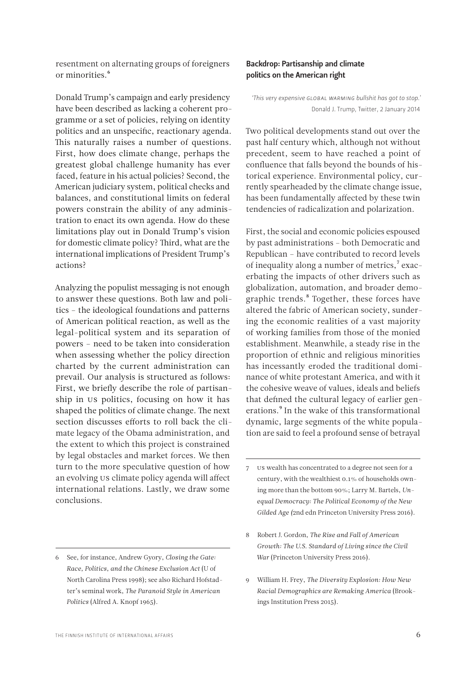or minorities.<sup>6</sup>

<span id="page-5-0"></span>resentment on alternating groups of foreigners

Donald Trump's campaign and early presidency have been described as lacking a coherent programme or a set of policies, relying on identity politics and an unspecific, reactionary agenda. This naturally raises a number of questions. First, how does climate change, perhaps the greatest global challenge humanity has ever faced, feature in his actual policies? Second, the American judiciary system, political checks and balances, and constitutional limits on federal powers constrain the ability of any administration to enact its own agenda. How do these limitations play out in Donald Trump's vision for domestic climate policy? Third, what are the international implications of President Trump's actions?

Analyzing the populist messaging is not enough to answer these questions. Both law and politics – the ideological foundations and patterns of American political reaction, as well as the legal-political system and its separation of powers – need to be taken into consideration when assessing whether the policy direction charted by the current administration can prevail. Our analysis is structured as follows: First, we briefly describe the role of partisanship in US politics, focusing on how it has shaped the politics of climate change. The next section discusses efforts to roll back the climate legacy of the Obama administration, and the extent to which this project is constrained by legal obstacles and market forces. We then turn to the more speculative question of how an evolving US climate policy agenda will affect international relations. Lastly, we draw some conclusions.

# Backdrop: Partisanship and climate politics on the American right

*'This very expensive GLOBAL WARMING bullshit has got to stop.*' Donald J. Trump, Twitter, 2 January 2014

Two political developments stand out over the past half century which, although not without precedent, seem to have reached a point of confluence that falls beyond the bounds of historical experience. Environmental policy, currently spearheaded by the climate change issue, has been fundamentally affected by these twin tendencies of radicalization and polarization.

First, the social and economic policies espoused by past administrations – both Democratic and Republican – have contributed to record levels of inequality along a number of metrics, $\alpha$ <sup>7</sup> exacerbating the impacts of other drivers such as globalization, automation, and broader demographic trends.<sup>8</sup> Together, these forces have altered the fabric of American society, sundering the economic realities of a vast majority of working families from those of the monied establishment. Meanwhile, a steady rise in the proportion of ethnic and religious minorities has incessantly eroded the traditional dominance of white protestant America, and with it the cohesive weave of values, ideals and beliefs that defined the cultural legacy of earlier generations.<sup>9</sup> In the wake of this transformational dynamic, large segments of the white population are said to feel a profound sense of betrayal

- 8 Robert J. Gordon, *The Rise and Fall of American Growth: The U.S. Standard of Living since the Civil War* (Princeton University Press 2016).
- 9 William H. Frey, *The Diversity Explosion: How New Racial Demographics are Remaking America* (Brookings Institution Press 2015).

<sup>6</sup> See, for instance, Andrew Gyory, *Closing the Gate: Race, Politics, and the Chinese Exclusion Act* (U of North Carolina Press 1998); see also Richard Hofstadter's seminal work, *The Paranoid Style in American Politics* (Alfred A. Knopf 1965).

<sup>7</sup> US wealth has concentrated to a degree not seen for a century, with the wealthiest 0.1% of households owning more than the bottom 90%; Larry M. Bartels, *Unequal Democracy: The Political Economy of the New Gilded Age (*2nd edn Princeton University Press 2016).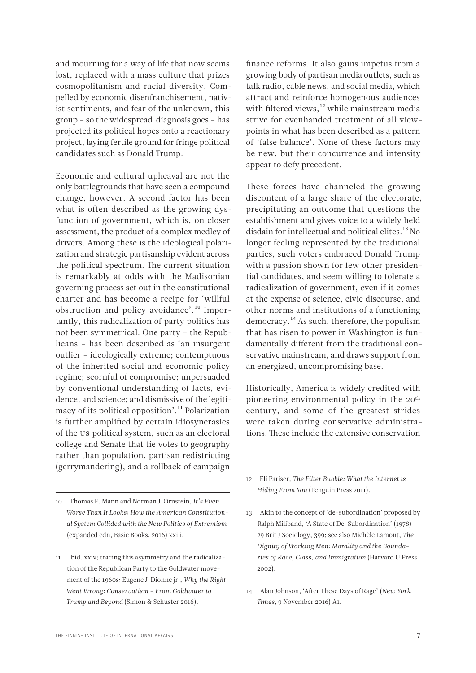and mourning for a way of life that now seems lost, replaced with a mass culture that prizes cosmopolitanism and racial diversity. Compelled by economic disenfranchisement, nativist sentiments, and fear of the unknown, this group – so the widespread diagnosis goes – has projected its political hopes onto a reactionary project, laying fertile ground for fringe political candidates such as Donald Trump.

Economic and cultural upheaval are not the only battlegrounds that have seen a compound change, however. A second factor has been what is often described as the growing dysfunction of government, which is, on closer assessment, the product of a complex medley of drivers. Among these is the ideological polarization and strategic partisanship evident across the political spectrum. The current situation is remarkably at odds with the Madisonian governing process set out in the constitutional charter and has become a recipe for 'willful obstruction and policy avoidance'.10 Importantly, this radicalization of party politics has not been symmetrical. One party – the Republicans – has been described as 'an insurgent outlier – ideologically extreme; contemptuous of the inherited social and economic policy regime; scornful of compromise; unpersuaded by conventional understanding of facts, evidence, and science; and dismissive of the legitimacy of its political opposition'.11 Polarization is further amplified by certain idiosyncrasies of the US political system, such as an electoral college and Senate that tie votes to geography rather than population, partisan redistricting (gerrymandering), and a rollback of campaign

10 Thomas E. Mann and Norman J. Ornstein, *It's Even Worse Than It Looks: How the American Constitutional System Collided with the New Politics of Extremism*  (expanded edn, Basic Books, 2016) xxiii.

11 Ibid. xxiv; tracing this asymmetry and the radicalization of the Republican Party to the Goldwater movement of the 1960s: Eugene J. Dionne jr., *Why the Right Went Wrong: Conservatism – From Goldwater to Trump and Beyond* (Simon & Schuster 2016).

finance reforms. It also gains impetus from a growing body of partisan media outlets, such as talk radio, cable news, and social media, which attract and reinforce homogenous audiences with filtered views,<sup>12</sup> while mainstream media strive for evenhanded treatment of all viewpoints in what has been described as a pattern of 'false balance'. None of these factors may be new, but their concurrence and intensity appear to defy precedent.

These forces have channeled the growing discontent of a large share of the electorate, precipitating an outcome that questions the establishment and gives voice to a widely held disdain for intellectual and political elites.<sup>13</sup> No longer feeling represented by the traditional parties, such voters embraced Donald Trump with a passion shown for few other presidential candidates, and seem willing to tolerate a radicalization of government, even if it comes at the expense of science, civic discourse, and other norms and institutions of a functioning democracy.14 As such, therefore, the populism that has risen to power in Washington is fundamentally different from the traditional conservative mainstream, and draws support from an energized, uncompromising base.

Historically, America is widely credited with pioneering environmental policy in the 20<sup>th</sup> century, and some of the greatest strides were taken during conservative administrations. These include the extensive conservation

12 Eli Pariser, *The Filter Bubble: What the Internet is Hiding From You* (Penguin Press 2011).

- 13 Akin to the concept of 'de-subordination' proposed by Ralph Miliband, 'A State of De-Subordination' (1978) 29 Brit J Sociology, 399; see also Michèle Lamont, *The Dignity of Working Men: Morality and the Boundaries of Race, Class, and Immigration* (Harvard U Press 2002).
- 14 Alan Johnson, 'After These Days of Rage' (*New York Times*, 9 November 2016) A1.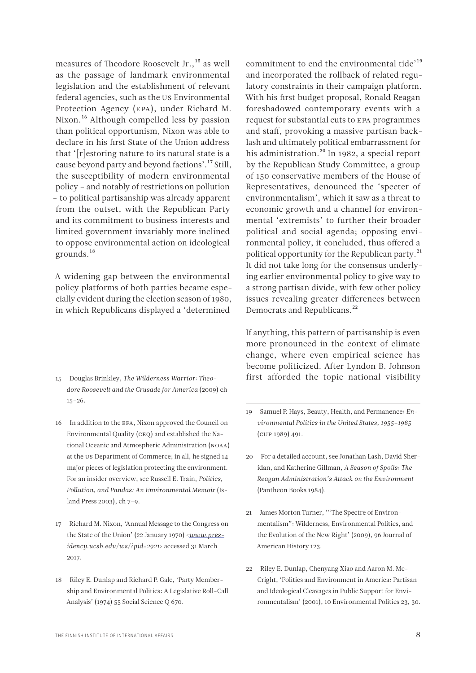measures of Theodore Roosevelt Jr.,<sup>15</sup> as well as the passage of landmark environmental legislation and the establishment of relevant federal agencies, such as the US Environmental Protection Agency (EPA), under Richard M. Nixon.<sup>16</sup> Although compelled less by passion than political opportunism, Nixon was able to declare in his first State of the Union address that '[r]estoring nature to its natural state is a cause beyond party and beyond factions'.17 Still, the susceptibility of modern environmental policy – and notably of restrictions on pollution – to political partisanship was already apparent from the outset, with the Republican Party and its commitment to business interests and limited government invariably more inclined to oppose environmental action on ideological grounds.18

A widening gap between the environmental policy platforms of both parties became especially evident during the election season of 1980, in which Republicans displayed a 'determined

- 15 Douglas Brinkley, *The Wilderness Warrior: Theodore Roosevelt and the Crusade for America* (2009) ch 15–26.
- 16 In addition to the EPA, Nixon approved the Council on Environmental Quality (CEQ) and established the National Oceanic and Atmospheric Administration (NOAA) at the US Department of Commerce; in all, he signed 14 major pieces of legislation protecting the environment. For an insider overview, see Russell E. Train, *Politics, Pollution, and Pandas: An Environmental Memoir* (Island Press 2003), ch 7–9.
- 17 Richard M. Nixon, 'Annual Message to the Congress on the State of the Union' (22 January 1970) <*[www.pres](file:///C:\Users\antto.vihma\Downloads\www.presidency.ucsb.edu\ws\%3fpid=2921)[idency.ucsb.edu/ws/?pid=2921](file:///C:\Users\antto.vihma\Downloads\www.presidency.ucsb.edu\ws\%3fpid=2921)*> accessed 31 March 2017.
- 18 Riley E. Dunlap and Richard P. Gale, 'Party Membership and Environmental Politics: A Legislative Roll-Call Analysis' (1974) 55 Social Science Q 670.

commitment to end the environmental tide'19 and incorporated the rollback of related regulatory constraints in their campaign platform. With his first budget proposal, Ronald Reagan foreshadowed contemporary events with a request for substantial cuts to EPA programmes and staff, provoking a massive partisan backlash and ultimately political embarrassment for his administration.<sup>20</sup> In 1982, a special report by the Republican Study Committee, a group of 150 conservative members of the House of Representatives, denounced the 'specter of environmentalism', which it saw as a threat to economic growth and a channel for environmental 'extremists' to further their broader political and social agenda; opposing environmental policy, it concluded, thus offered a political opportunity for the Republican party.<sup>21</sup> It did not take long for the consensus underlying earlier environmental policy to give way to a strong partisan divide, with few other policy issues revealing greater differences between Democrats and Republicans.<sup>22</sup>

If anything, this pattern of partisanship is even more pronounced in the context of climate change, where even empirical science has become politicized. After Lyndon B. Johnson first afforded the topic national visibility

- 19 Samuel P. Hays, Beauty, Health, and Permanence: *Environmental Politics in the United States, 1955–1985*  (CUP 1989) 491.
- 20 For a detailed account, see Jonathan Lash, David Sheridan, and Katherine Gillman, *A Season of Spoils: The Reagan Administration's Attack on the Environment*  (Pantheon Books 1984).
- 21 James Morton Turner, '"The Spectre of Environmentalism": Wilderness, Environmental Politics, and the Evolution of the New Right' (2009), 96 Journal of American History 123.
- 22 Riley E. Dunlap, Chenyang Xiao and Aaron M. Mc-Cright, 'Politics and Environment in America: Partisan and Ideological Cleavages in Public Support for Environmentalism' (2001), 10 Environmental Politics 23, 30.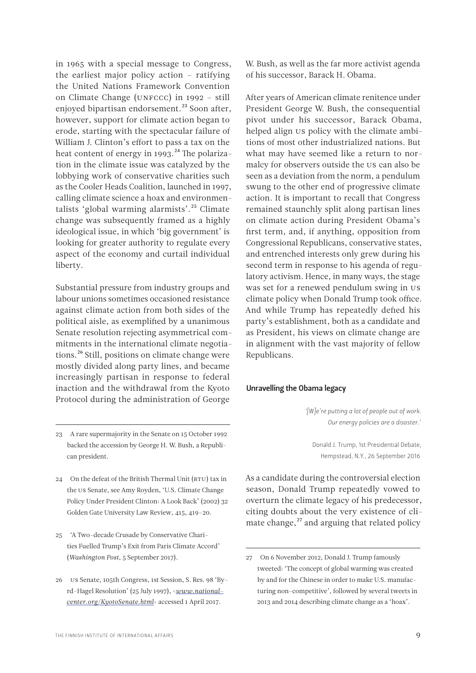<span id="page-8-0"></span>in 1965 with a special message to Congress, the earliest major policy action – ratifying the United Nations Framework Convention on Climate Change (UNFCCC) in 1992 – still enjoyed bipartisan endorsement.<sup>23</sup> Soon after, however, support for climate action began to erode, starting with the spectacular failure of William J. Clinton's effort to pass a tax on the heat content of energy in 1993.<sup>24</sup> The polarization in the climate issue was catalyzed by the lobbying work of conservative charities such as the Cooler Heads Coalition, launched in 1997, calling climate science a hoax and environmentalists 'global warming alarmists'.25 Climate change was subsequently framed as a highly ideological issue, in which 'big government' is looking for greater authority to regulate every aspect of the economy and curtail individual liberty.

Substantial pressure from industry groups and labour unions sometimes occasioned resistance against climate action from both sides of the political aisle, as exemplified by a unanimous Senate resolution rejecting asymmetrical commitments in the international climate negotiations.<sup>26</sup> Still, positions on climate change were mostly divided along party lines, and became increasingly partisan in response to federal inaction and the withdrawal from the Kyoto Protocol during the administration of George

- 24 On the defeat of the British Thermal Unit (BTU) tax in the US Senate, see Amy Royden, 'U.S. Climate Change Policy Under President Clinton: A Look Back' (2002) 32 Golden Gate University Law Review, 415, 419–20.
- 25 'A Two-decade Crusade by Conservative Charities Fuelled Trump's Exit from Paris Climate Accord' (*Washington Post*, 5 September 2017).
- 26 US Senate, 105th Congress, 1st Session, S. Res. 98 'Byrd-Hagel Resolution' (25 July 1997), <*[www.national](file:///C:\Users\antto.vihma\Downloads\www.nationalcenter.org\KyotoSenate.html)[center.org/KyotoSenate.html](file:///C:\Users\antto.vihma\Downloads\www.nationalcenter.org\KyotoSenate.html)*> accessed 1 April 2017.

W. Bush, as well as the far more activist agenda of his successor, Barack H. Obama.

After years of American climate renitence under President George W. Bush, the consequential pivot under his successor, Barack Obama, helped align us policy with the climate ambitions of most other industrialized nations. But what may have seemed like a return to normalcy for observers outside the US can also be seen as a deviation from the norm, a pendulum swung to the other end of progressive climate action. It is important to recall that Congress remained staunchly split along partisan lines on climate action during President Obama's first term, and, if anything, opposition from Congressional Republicans, conservative states, and entrenched interests only grew during his second term in response to his agenda of regulatory activism. Hence, in many ways, the stage was set for a renewed pendulum swing in US climate policy when Donald Trump took office. And while Trump has repeatedly defied his party's establishment, both as a candidate and as President, his views on climate change are in alignment with the vast majority of fellow Republicans.

#### Unravelling the Obama legacy

*'[W]e're putting a lot of people out of work. Our energy policies are a disaster.'*

Donald J. Trump, 1st Presidential Debate, Hempstead, N.Y., 26 September 2016

As a candidate during the controversial election season, Donald Trump repeatedly vowed to overturn the climate legacy of his predecessor, citing doubts about the very existence of climate change, $^{27}$  and arguing that related policy

<sup>23</sup> A rare supermajority in the Senate on 15 October 1992 backed the accession by George H. W. Bush, a Republican president.

<sup>27</sup> On 6 November 2012, Donald J. Trump famously tweeted: 'The concept of global warming was created by and for the Chinese in order to make U.S. manufacturing non-competitive', followed by several tweets in 2013 and 2014 describing climate change as a 'hoax'.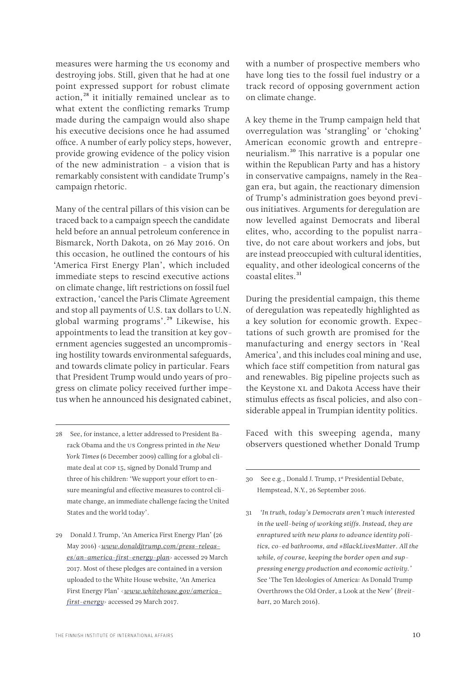measures were harming the US economy and destroying jobs. Still, given that he had at one point expressed support for robust climate action,<sup>28</sup> it initially remained unclear as to what extent the conflicting remarks Trump made during the campaign would also shape his executive decisions once he had assumed office. A number of early policy steps, however, provide growing evidence of the policy vision of the new administration – a vision that is remarkably consistent with candidate Trump's campaign rhetoric.

Many of the central pillars of this vision can be traced back to a campaign speech the candidate held before an annual petroleum conference in Bismarck, North Dakota, on 26 May 2016. On this occasion, he outlined the contours of his 'America First Energy Plan', which included immediate steps to rescind executive actions on climate change, lift restrictions on fossil fuel extraction, 'cancel the Paris Climate Agreement and stop all payments of U.S. tax dollars to U.N. global warming programs'.29 Likewise, his appointments to lead the transition at key government agencies suggested an uncompromising hostility towards environmental safeguards, and towards climate policy in particular. Fears that President Trump would undo years of progress on climate policy received further impetus when he announced his designated cabinet,

with a number of prospective members who have long ties to the fossil fuel industry or a track record of opposing government action on climate change.

A key theme in the Trump campaign held that overregulation was 'strangling' or 'choking' American economic growth and entrepreneurialism.30 This narrative is a popular one within the Republican Party and has a history in conservative campaigns, namely in the Reagan era, but again, the reactionary dimension of Trump's administration goes beyond previous initiatives. Arguments for deregulation are now levelled against Democrats and liberal elites, who, according to the populist narrative, do not care about workers and jobs, but are instead preoccupied with cultural identities, equality, and other ideological concerns of the coastal elites.<sup>31</sup>

During the presidential campaign, this theme of deregulation was repeatedly highlighted as a key solution for economic growth. Expectations of such growth are promised for the manufacturing and energy sectors in 'Real America', and this includes coal mining and use, which face stiff competition from natural gas and renewables. Big pipeline projects such as the Keystone XL and Dakota Access have their stimulus effects as fiscal policies, and also considerable appeal in Trumpian identity politics.

Faced with this sweeping agenda, many observers questioned whether Donald Trump

30 See e.g., Donald J. Trump, 1st Presidential Debate, Hempstead, N.Y., 26 September 2016.

31 *'In truth, today's Democrats aren't much interested in the well-being of working stiffs. Instead, they are enraptured with new plans to advance identity politics, co-ed bathrooms, and #BlackLivesMatter. All the while, of course, keeping the border open and suppressing energy production and economic activity.'* See 'The Ten Ideologies of America: As Donald Trump Overthrows the Old Order, a Look at the New' (*Breitbart*, 20 March 2016).

<sup>28</sup> See, for instance, a letter addressed to President Barack Obama and the US Congress printed in *the New York Times* (6 December 2009) calling for a global climate deal at COP 15, signed by Donald Trump and three of his children: 'We support your effort to ensure meaningful and effective measures to control climate change, an immediate challenge facing the United States and the world today'.

<sup>29</sup> Donald J. Trump, 'An America First Energy Plan' (26 May 2016) <*[www.donaldjtrump.com/press-releas](file:///C:\Users\antto.vihma\Downloads\www.donaldjtrump.com\press-releases\an-america-first-energy-plan)[es/an-america-first-energy-plan](file:///C:\Users\antto.vihma\Downloads\www.donaldjtrump.com\press-releases\an-america-first-energy-plan)*> accessed 29 March 2017. Most of these pledges are contained in a version uploaded to the White House website, 'An America First Energy Plan' <*[www.whitehouse.gov/america](file:///C:\Users\antto.vihma\Downloads\www.whitehouse.gov\america-first-energy)[first-energy](file:///C:\Users\antto.vihma\Downloads\www.whitehouse.gov\america-first-energy)*> accessed 29 March 2017.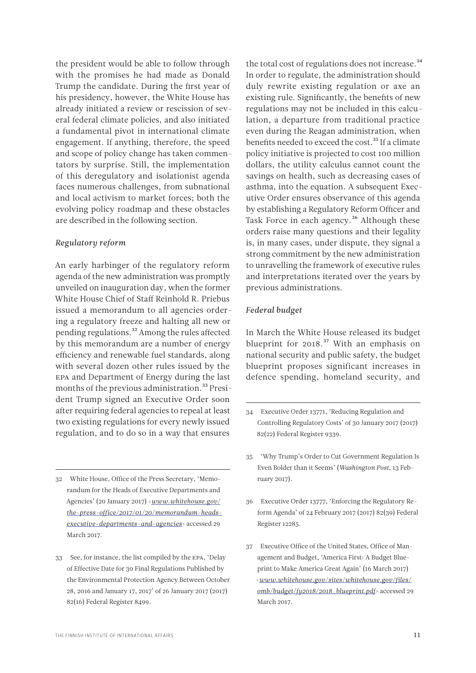the president would be able to follow through with the promises he had made as Donald Trump the candidate. During the first year of his presidency, however, the White House has already initiated a review or rescission of several federal climate policies, and also initiated a fundamental pivot in international climate engagement. If anything, therefore, the speed and scope of policy change has taken commentators by surprise. Still, the implementation of this deregulatory and isolationist agenda faces numerous challenges, from subnational and local activism to market forces; both the evolving policy roadmap and these obstacles are described in the following section.

### *Regulatory reform*

An early harbinger of the regulatory reform agenda of the new administration was promptly unveiled on inauguration day, when the former White House Chief of Staff Reinhold R. Priebus issued a memorandum to all agencies ordering a regulatory freeze and halting all new or pending regulations.32 Among the rules affected by this memorandum are a number of energy efficiency and renewable fuel standards, along with several dozen other rules issued by the EPA and Department of Energy during the last months of the previous administration.<sup>33</sup> President Trump signed an Executive Order soon after requiring federal agencies to repeal at least two existing regulations for every newly issued regulation, and to do so in a way that ensures

- 32 White House, Office of the Press Secretary, 'Memorandum for the Heads of Executive Departments and Agencies' (20 January 2017) <*[www.whitehouse.gov/](file:///C:\Users\antto.vihma\Downloads\www.whitehouse.gov\the-press-office\2017\01\20\memorandum-heads-executive-departments-and-agencies) [the-press-office/2017/01/20/memorandum-heads](file:///C:\Users\antto.vihma\Downloads\www.whitehouse.gov\the-press-office\2017\01\20\memorandum-heads-executive-departments-and-agencies)[executive-departments-and-agencies](file:///C:\Users\antto.vihma\Downloads\www.whitehouse.gov\the-press-office\2017\01\20\memorandum-heads-executive-departments-and-agencies)*> accessed 29 March 2017.
- 33 See, for instance, the list compiled by the EPA, 'Delay of Effective Date for 30 Final Regulations Published by the Environmental Protection Agency Between October 28, 2016 and January 17, 2017' of 26 January 2017 (2017) 82(16) Federal Register 8499.

the total cost of regulations does not increase.<sup>34</sup> In order to regulate, the administration should duly rewrite existing regulation or axe an existing rule. Significantly, the benefits of new regulations may not be included in this calculation, a departure from traditional practice even during the Reagan administration, when benefits needed to exceed the cost.<sup>35</sup> If a climate policy initiative is projected to cost 100 million dollars, the utility calculus cannot count the savings on health, such as decreasing cases of asthma, into the equation. A subsequent Executive Order ensures observance of this agenda by establishing a Regulatory Reform Officer and Task Force in each agency.<sup>36</sup> Although these orders raise many questions and their legality is, in many cases, under dispute, they signal a strong commitment by the new administration to unravelling the framework of executive rules and interpretations iterated over the years by previous administrations.

### *Federal budget*

In March the White House released its budget blueprint for 2018.<sup>37</sup> With an emphasis on national security and public safety, the budget blueprint proposes significant increases in defence spending, homeland security, and

- 35 'Why Trump's Order to Cut Government Regulation Is Even Bolder than it Seems' (*Washington Post*, 13 February 2017).
- 36 Executive Order 13777, 'Enforcing the Regulatory Reform Agenda' of 24 February 2017 (2017) 82(39) Federal Register 12285.
- 37 Executive Office of the United States, Office of Management and Budget, 'America First: A Budget Blueprint to Make America Great Again' (16 March 2017) <*[www.whitehouse.gov/sites/whitehouse.gov/files/](file:///C:\Users\antto.vihma\Downloads\www.whitehouse.gov\sites\whitehouse.gov\files\omb\budget\fy2018\2018_blueprint.pdf) [omb/budget/fy2018/2018\\_blueprint.pdf](file:///C:\Users\antto.vihma\Downloads\www.whitehouse.gov\sites\whitehouse.gov\files\omb\budget\fy2018\2018_blueprint.pdf)*> accessed 29 March 2017.

<sup>34</sup> Executive Order 13771, 'Reducing Regulation and Controlling Regulatory Costs' of 30 January 2017 (2017) 82(22) Federal Register 9339.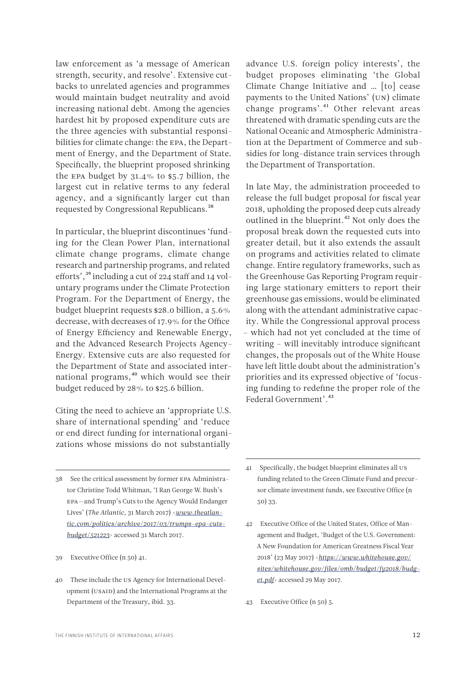law enforcement as 'a message of American strength, security, and resolve'. Extensive cutbacks to unrelated agencies and programmes would maintain budget neutrality and avoid increasing national debt. Among the agencies hardest hit by proposed expenditure cuts are the three agencies with substantial responsibilities for climate change: the EPA, the Department of Energy, and the Department of State. Specifically, the blueprint proposed shrinking the EPA budget by 31.4% to \$5.7 billion, the largest cut in relative terms to any federal agency, and a significantly larger cut than requested by Congressional Republicans.38

In particular, the blueprint discontinues 'funding for the Clean Power Plan, international climate change programs, climate change research and partnership programs, and related efforts',39 including a cut of 224 staff and 14 voluntary programs under the Climate Protection Program. For the Department of Energy, the budget blueprint requests \$28.0 billion, a 5.6% decrease, with decreases of 17.9% for the Office of Energy Efficiency and Renewable Energy, and the Advanced Research Projects Agency-Energy. Extensive cuts are also requested for the Department of State and associated international programs,<sup>40</sup> which would see their budget reduced by 28% to \$25.6 billion.

Citing the need to achieve an 'appropriate U.S. share of international spending' and 'reduce or end direct funding for international organizations whose missions do not substantially

38 See the critical assessment by former EPA Administrator Christine Todd Whitman, 'I Ran George W. Bush's EPA—and Trump's Cuts to the Agency Would Endanger Lives' (*The Atlantic,* 31 March 2017) <*[www.theatlan](file:///C:\Users\antto.vihma\Downloads\www.theatlantic.com\politics\archive\2017\03\trumps-epa-cuts-budget\521223)[tic.com/politics/archive/2017/03/trumps-epa-cuts](file:///C:\Users\antto.vihma\Downloads\www.theatlantic.com\politics\archive\2017\03\trumps-epa-cuts-budget\521223)[budget/521223](file:///C:\Users\antto.vihma\Downloads\www.theatlantic.com\politics\archive\2017\03\trumps-epa-cuts-budget\521223)*> accessed 31 March 2017.

39 Executive Office (n 50) 41.

40 These include the US Agency for International Development (USAID) and the International Programs at the Department of the Treasury, ibid. 33.

advance U.S. foreign policy interests', the budget proposes eliminating 'the Global Climate Change Initiative and … [to] cease payments to the United Nations' (UN) climate change programs'.<sup>41</sup> Other relevant areas threatened with dramatic spending cuts are the National Oceanic and Atmospheric Administration at the Department of Commerce and subsidies for long-distance train services through the Department of Transportation.

In late May, the administration proceeded to release the full budget proposal for fiscal year 2018, upholding the proposed deep cuts already outlined in the blueprint.<sup>42</sup> Not only does the proposal break down the requested cuts into greater detail, but it also extends the assault on programs and activities related to climate change. Entire regulatory frameworks, such as the Greenhouse Gas Reporting Program requiring large stationary emitters to report their greenhouse gas emissions, would be eliminated along with the attendant administrative capacity. While the Congressional approval process – which had not yet concluded at the time of writing – will inevitably introduce significant changes, the proposals out of the White House have left little doubt about the administration's priorities and its expressed objective of 'focusing funding to redefine the proper role of the Federal Government<sup>'</sup>.<sup>43</sup>

<sup>41</sup> Specifically, the budget blueprint eliminates all US funding related to the Green Climate Fund and precursor climate investment funds, see Executive Office (n 50) 33.

<sup>42</sup> Executive Office of the United States, Office of Management and Budget, 'Budget of the U.S. Government: A New Foundation for American Greatness Fiscal Year 2018' (23 May 2017) <*[https://www.whitehouse.gov/](https://www.whitehouse.gov/sites/whitehouse.gov/files/omb/budget/fy2018/budget.pdf) [sites/whitehouse.gov/files/omb/budget/fy2018/budg](https://www.whitehouse.gov/sites/whitehouse.gov/files/omb/budget/fy2018/budget.pdf)[et.pdf](https://www.whitehouse.gov/sites/whitehouse.gov/files/omb/budget/fy2018/budget.pdf)*> accessed 29 May 2017.

<sup>43</sup> Executive Office (n 50) 5.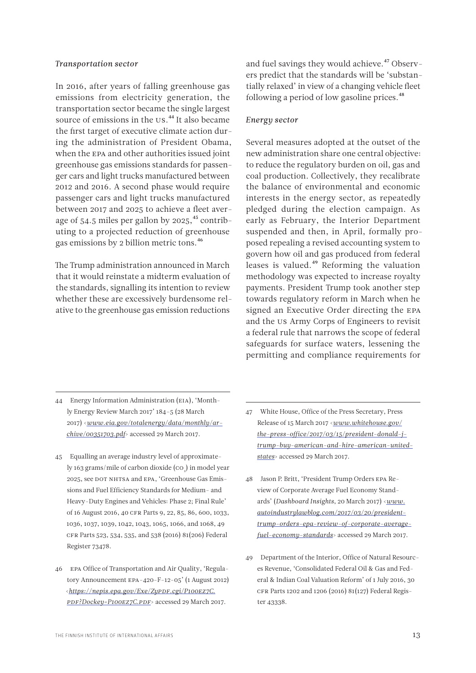#### *Transportation sector*

In 2016, after years of falling greenhouse gas emissions from electricity generation, the transportation sector became the single largest source of emissions in the US.<sup>44</sup> It also became the first target of executive climate action during the administration of President Obama, when the EPA and other authorities issued joint greenhouse gas emissions standards for passenger cars and light trucks manufactured between 2012 and 2016. A second phase would require passenger cars and light trucks manufactured between 2017 and 2025 to achieve a fleet average of  $54.5$  miles per gallon by  $2025$ ,  $45$  contributing to a projected reduction of greenhouse gas emissions by 2 billion metric tons.46

The Trump administration announced in March that it would reinstate a midterm evaluation of the standards, signalling its intention to review whether these are excessively burdensome relative to the greenhouse gas emission reductions

and fuel savings they would achieve.<sup>47</sup> Observers predict that the standards will be 'substantially relaxed' in view of a changing vehicle fleet following a period of low gasoline prices.<sup>48</sup>

### *Energy sector*

Several measures adopted at the outset of the new administration share one central objective: to reduce the regulatory burden on oil, gas and coal production. Collectively, they recalibrate the balance of environmental and economic interests in the energy sector, as repeatedly pledged during the election campaign. As early as February, the Interior Department suspended and then, in April, formally proposed repealing a revised accounting system to govern how oil and gas produced from federal leases is valued.<sup>49</sup> Reforming the valuation methodology was expected to increase royalty payments. President Trump took another step towards regulatory reform in March when he signed an Executive Order directing the EPA and the US Army Corps of Engineers to revisit a federal rule that narrows the scope of federal safeguards for surface waters, lessening the permitting and compliance requirements for

- 44 Energy Information Administration (EIA), 'Monthly Energy Review March 2017' 184–5 (28 March 2017) <*[www.eia.gov/totalenergy/data/monthly/ar](file:///C:\Users\antto.vihma\Downloads\www.eia.gov\totalenergy\data\monthly\archive\00351703.pdf)[chive/00351703.pdf](file:///C:\Users\antto.vihma\Downloads\www.eia.gov\totalenergy\data\monthly\archive\00351703.pdf)*> accessed 29 March 2017.
- 45 Equalling an average industry level of approximately 163 grams/mile of carbon dioxide (co<sub>2</sub>) in model year 2025, see DOT NHTSA and EPA, 'Greenhouse Gas Emissions and Fuel Efficiency Standards for Medium- and Heavy-Duty Engines and Vehicles: Phase 2; Final Rule' of 16 August 2016, 40 CFR Parts 9, 22, 85, 86, 600, 1033, 1036, 1037, 1039, 1042, 1043, 1065, 1066, and 1068, 49 CFR Parts 523, 534, 535, and 538 (2016) 81(206) Federal Register 73478.
- 46 EPA Office of Transportation and Air Quality, 'Regulatory Announcement EPA-420-F-12-05' (1 August 2012) <*[https://nepis.epa.gov/Exe/ZyPDF.cgi/P100EZ7C.](https://nepis.epa.gov/Exe/ZyPDF.cgi/P100EZ7C.PDF?Dockey=P100EZ7C.PDF) [PDF?Dockey=P100EZ7C.PDF](https://nepis.epa.gov/Exe/ZyPDF.cgi/P100EZ7C.PDF?Dockey=P100EZ7C.PDF)*> accessed 29 March 2017.
- 47 White House, Office of the Press Secretary, Press Release of 15 March 2017 <*[www.whitehouse.gov/](file:///C:\Users\antto.vihma\Downloads\www.whitehouse.gov\the-press-office\2017\03\15\president-donald-j-trump-buy-american-and-hire-american-united-states) [the-press-office/2017/03/15/president-donald-j](file:///C:\Users\antto.vihma\Downloads\www.whitehouse.gov\the-press-office\2017\03\15\president-donald-j-trump-buy-american-and-hire-american-united-states)[trump-buy-american-and-hire-american-united](file:///C:\Users\antto.vihma\Downloads\www.whitehouse.gov\the-press-office\2017\03\15\president-donald-j-trump-buy-american-and-hire-american-united-states)[states](file:///C:\Users\antto.vihma\Downloads\www.whitehouse.gov\the-press-office\2017\03\15\president-donald-j-trump-buy-american-and-hire-american-united-states)*> accessed 29 March 2017.
- 48 Jason P. Britt, 'President Trump Orders EPA Review of Corporate Average Fuel Economy Standards' (*Dashboard Insights*, 20 March 2017) <*[www.](file:///C:\Users\antto.vihma\Downloads\www.autoindustrylawblog.com\2017\03\20\president-trump-orders-epa-review-of-corporate-average-fuel-economy-standards) [autoindustrylawblog.com/2017/03/20/president](file:///C:\Users\antto.vihma\Downloads\www.autoindustrylawblog.com\2017\03\20\president-trump-orders-epa-review-of-corporate-average-fuel-economy-standards)[trump-orders-epa-review-of-corporate-average](file:///C:\Users\antto.vihma\Downloads\www.autoindustrylawblog.com\2017\03\20\president-trump-orders-epa-review-of-corporate-average-fuel-economy-standards)[fuel-economy-standards](file:///C:\Users\antto.vihma\Downloads\www.autoindustrylawblog.com\2017\03\20\president-trump-orders-epa-review-of-corporate-average-fuel-economy-standards)*> accessed 29 March 2017.
- 49 Department of the Interior, Office of Natural Resources Revenue, 'Consolidated Federal Oil & Gas and Federal & Indian Coal Valuation Reform' of 1 July 2016, 30 CFR Parts 1202 and 1206 (2016) 81(127) Federal Register 43338.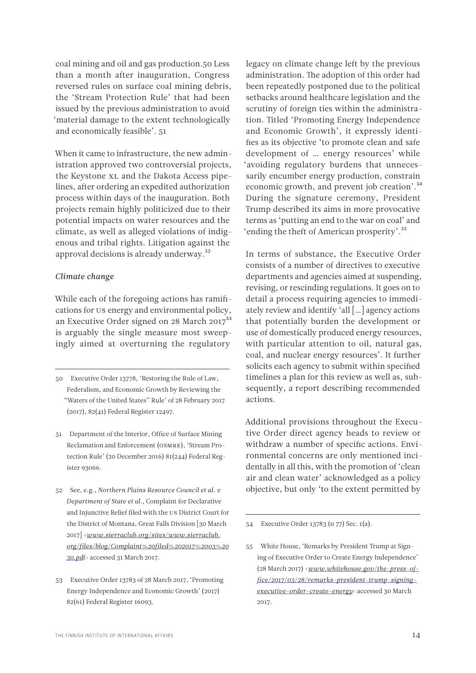coal mining and oil and gas production.50 Less than a month after inauguration, Congress reversed rules on surface coal mining debris, the 'Stream Protection Rule' that had been issued by the previous administration to avoid 'material damage to the extent technologically and economically feasible'. 51

When it came to infrastructure, the new administration approved two controversial projects, the Keystone XL and the Dakota Access pipelines, after ordering an expedited authorization process within days of the inauguration. Both projects remain highly politicized due to their potential impacts on water resources and the climate, as well as alleged violations of indigenous and tribal rights. Litigation against the approval decisions is already underway.<sup>52</sup>

# *Climate change*

While each of the foregoing actions has ramifications for US energy and environmental policy, an Executive Order signed on 28 March 2017<sup>53</sup> is arguably the single measure most sweepingly aimed at overturning the regulatory

- 51 Department of the Interior, Office of Surface Mining Reclamation and Enforcement (OSMRE), 'Stream Protection Rule' (20 December 2016) 81(244) Federal Register 93066.
- 52 See, e.g., *Northern Plains Resource Council et al. v Department of State et al.*, Complaint for Declarative and Injunctive Relief filed with the US District Court for the District of Montana, Great Falls Division [30 March 2017] <*[www.sierraclub.org/sites/www.sierraclub.](file:///C:\Users\antto.vihma\Downloads\www.sierraclub.org\sites\www.sierraclub.org\files\blog\Complaint%20filed%202017%2003%2030.pdf) [org/files/blog/Complaint%20filed%202017%2003%20](file:///C:\Users\antto.vihma\Downloads\www.sierraclub.org\sites\www.sierraclub.org\files\blog\Complaint%20filed%202017%2003%2030.pdf) [30.pd](file:///C:\Users\antto.vihma\Downloads\www.sierraclub.org\sites\www.sierraclub.org\files\blog\Complaint%20filed%202017%2003%2030.pdf)*f> accessed 31 March 2017.
- 53 Executive Order 13783 of 28 March 2017, 'Promoting Energy Independence and Economic Growth' (2017) 82(61) Federal Register 16093.

legacy on climate change left by the previous administration. The adoption of this order had been repeatedly postponed due to the political setbacks around healthcare legislation and the scrutiny of foreign ties within the administration. Titled 'Promoting Energy Independence and Economic Growth', it expressly identifies as its objective 'to promote clean and safe development of … energy resources' while 'avoiding regulatory burdens that unnecessarily encumber energy production, constrain economic growth, and prevent job creation'.54 During the signature ceremony, President Trump described its aims in more provocative terms as 'putting an end to the war on coal' and 'ending the theft of American prosperity'.55

In terms of substance, the Executive Order consists of a number of directives to executive departments and agencies aimed at suspending, revising, or rescinding regulations. It goes on to detail a process requiring agencies to immediately review and identify 'all […] agency actions that potentially burden the development or use of domestically produced energy resources, with particular attention to oil, natural gas, coal, and nuclear energy resources'. It further solicits each agency to submit within specified timelines a plan for this review as well as, subsequently, a report describing recommended actions.

Additional provisions throughout the Executive Order direct agency heads to review or withdraw a number of specific actions. Environmental concerns are only mentioned incidentally in all this, with the promotion of 'clean air and clean water' acknowledged as a policy objective, but only 'to the extent permitted by

54 Executive Order 13783 (n 77) Sec. 1(a).

55 White House, 'Remarks by President Trump at Signing of Executive Order to Create Energy Independence' (28 March 2017) <*[www.whitehouse.gov/the-press-of](file:///C:\Users\antto.vihma\Downloads\www.whitehouse.gov\the-press-office\2017\03\28\remarks-president-trump-signing-executive-order-create-energy)[fice/2017/03/28/remarks-president-trump-signing](file:///C:\Users\antto.vihma\Downloads\www.whitehouse.gov\the-press-office\2017\03\28\remarks-president-trump-signing-executive-order-create-energy)[executive-order-create-energy](file:///C:\Users\antto.vihma\Downloads\www.whitehouse.gov\the-press-office\2017\03\28\remarks-president-trump-signing-executive-order-create-energy)*> accessed 30 March 2017.

<sup>50</sup> Executive Order 13778, 'Restoring the Rule of Law, Federalism, and Economic Growth by Reviewing the "Waters of the United States" Rule' of 28 February 2017 (2017), 82(41) Federal Register 12497.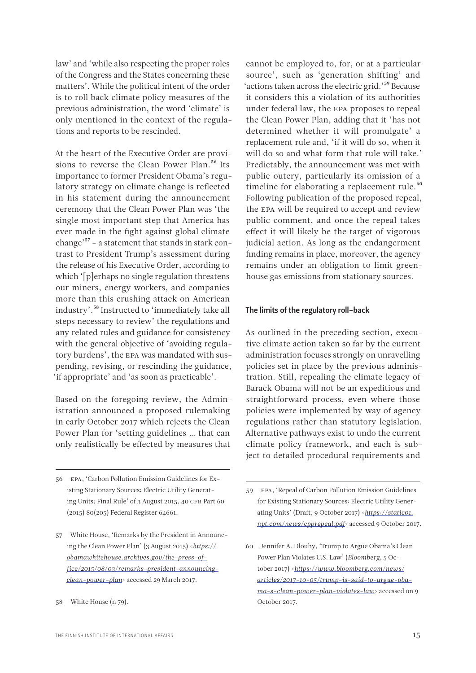<span id="page-14-0"></span>law' and 'while also respecting the proper roles of the Congress and the States concerning these matters'. While the political intent of the order is to roll back climate policy measures of the previous administration, the word 'climate' is only mentioned in the context of the regulations and reports to be rescinded.

At the heart of the Executive Order are provisions to reverse the Clean Power Plan.<sup>56</sup> Its importance to former President Obama's regulatory strategy on climate change is reflected in his statement during the announcement ceremony that the Clean Power Plan was 'the single most important step that America has ever made in the fight against global climate change'57 – a statement that stands in stark contrast to President Trump's assessment during the release of his Executive Order, according to which '[p]erhaps no single regulation threatens our miners, energy workers, and companies more than this crushing attack on American industry'.58 Instructed to 'immediately take all steps necessary to review' the regulations and any related rules and guidance for consistency with the general objective of 'avoiding regulatory burdens', the EPA was mandated with suspending, revising, or rescinding the guidance, 'if appropriate' and 'as soon as practicable'.

Based on the foregoing review, the Administration announced a proposed rulemaking in early October 2017 which rejects the Clean Power Plan for 'setting guidelines … that can only realistically be effected by measures that

cannot be employed to, for, or at a particular source', such as 'generation shifting' and 'actions taken across the electric grid.'<sup>59</sup> Because it considers this a violation of its authorities under federal law, the EPA proposes to repeal the Clean Power Plan, adding that it 'has not determined whether it will promulgate' a replacement rule and, 'if it will do so, when it will do so and what form that rule will take.' Predictably, the announcement was met with public outcry, particularly its omission of a timeline for elaborating a replacement rule.<sup>60</sup> Following publication of the proposed repeal, the EPA will be required to accept and review public comment, and once the repeal takes effect it will likely be the target of vigorous judicial action. As long as the endangerment finding remains in place, moreover, the agency remains under an obligation to limit greenhouse gas emissions from stationary sources.

#### The limits of the regulatory roll-back

As outlined in the preceding section, executive climate action taken so far by the current administration focuses strongly on unravelling policies set in place by the previous administration. Still, repealing the climate legacy of Barack Obama will not be an expeditious and straightforward process, even where those policies were implemented by way of agency regulations rather than statutory legislation. Alternative pathways exist to undo the current climate policy framework, and each is subject to detailed procedural requirements and

<sup>56</sup> EPA, 'Carbon Pollution Emission Guidelines for Existing Stationary Sources: Electric Utility Generating Units; Final Rule' of 3 August 2015, 40 CFR Part 60 (2015) 80(205) Federal Register 64661.

<sup>57</sup> White House, 'Remarks by the President in Announcing the Clean Power Plan' (3 August 2015) <*[https://](https://obamawhitehouse.archives.gov/the-press-office/2015/08/03/remarks-president-announcing-clean-power-plan) [obamawhitehouse.archives.gov/the-press-of](https://obamawhitehouse.archives.gov/the-press-office/2015/08/03/remarks-president-announcing-clean-power-plan)[fice/2015/08/03/remarks-president-announcing](https://obamawhitehouse.archives.gov/the-press-office/2015/08/03/remarks-president-announcing-clean-power-plan)[clean-power-plan](https://obamawhitehouse.archives.gov/the-press-office/2015/08/03/remarks-president-announcing-clean-power-plan)*> accessed 29 March 2017.

<sup>58</sup> White House (n 79).

<sup>59</sup> EPA, 'Repeal of Carbon Pollution Emission Guidelines for Existing Stationary Sources: Electric Utility Generating Units' (Draft, 9 October 2017) <*[https://static01.](https://static01.nyt.com/news/cpprepeal.pdf) [nyt.com/news/cpprepeal.pdf](https://static01.nyt.com/news/cpprepeal.pdf)*> accessed 9 October 2017.

<sup>60</sup> Jennifer A. Dlouhy, 'Trump to Argue Obama's Clean Power Plan Violates U.S. Law' (*Bloomberg*, 5 October 2017) <*[https://www.bloomberg.com/news/](https://www.bloomberg.com/news/articles/2017-10-05/trump-is-said-to-argue-obama-s-clean-power-plan-violates-law) [articles/2017-10-05/trump-is-said-to-argue-oba](https://www.bloomberg.com/news/articles/2017-10-05/trump-is-said-to-argue-obama-s-clean-power-plan-violates-law)[ma-s-clean-power-plan-violates-law](https://www.bloomberg.com/news/articles/2017-10-05/trump-is-said-to-argue-obama-s-clean-power-plan-violates-law)*> accessed on 9 October 2017.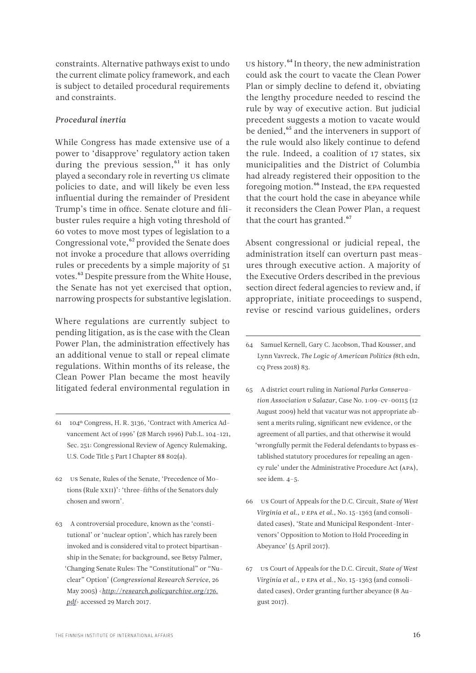constraints. Alternative pathways exist to undo the current climate policy framework, and each is subject to detailed procedural requirements and constraints.

#### *Procedural inertia*

While Congress has made extensive use of a power to 'disapprove' regulatory action taken during the previous session. $61$  it has only played a secondary role in reverting US climate policies to date, and will likely be even less influential during the remainder of President Trump's time in office. Senate cloture and filibuster rules require a high voting threshold of 60 votes to move most types of legislation to a Congressional vote,<sup>62</sup> provided the Senate does not invoke a procedure that allows overriding rules or precedents by a simple majority of 51 votes.63 Despite pressure from the White House, the Senate has not yet exercised that option, narrowing prospects for substantive legislation.

Where regulations are currently subject to pending litigation, as is the case with the Clean Power Plan, the administration effectively has an additional venue to stall or repeal climate regulations. Within months of its release, the Clean Power Plan became the most heavily litigated federal environmental regulation in

- 61 104th Congress, H. R. 3136, 'Contract with America Advancement Act of 1996' (28 March 1996) Pub.L. 104–121, Sec. 251: Congressional Review of Agency Rulemaking, U.S. Code Title 5 Part I Chapter 8§ 802(a).
- 62 US Senate, Rules of the Senate, 'Precedence of Motions (Rule XXII)': 'three-fifths of the Senators duly chosen and sworn'.
- 63 A controversial procedure, known as the 'constitutional' or 'nuclear option', which has rarely been invoked and is considered vital to protect bipartisanship in the Senate; for background, see Betsy Palmer, 'Changing Senate Rules: The "Constitutional" or "Nuclear" Option' (*Congressional Research Service*, 26 May 2005) <*[http://research.policyarchive.org/176.](http://research.policyarchive.org/176.pdf) [pdf](http://research.policyarchive.org/176.pdf)*> accessed 29 March 2017.

US history.<sup>64</sup> In theory, the new administration could ask the court to vacate the Clean Power Plan or simply decline to defend it, obviating the lengthy procedure needed to rescind the rule by way of executive action. But judicial precedent suggests a motion to vacate would be denied,<sup>65</sup> and the interveners in support of the rule would also likely continue to defend the rule. Indeed, a coalition of 17 states, six municipalities and the District of Columbia had already registered their opposition to the foregoing motion.<sup>66</sup> Instead, the EPA requested that the court hold the case in abeyance while it reconsiders the Clean Power Plan, a request that the court has granted.<sup>67</sup>

Absent congressional or judicial repeal, the administration itself can overturn past measures through executive action. A majority of the Executive Orders described in the previous section direct federal agencies to review and, if appropriate, initiate proceedings to suspend, revise or rescind various guidelines, orders

- 64 Samuel Kernell, Gary C. Jacobson, Thad Kousser, and Lynn Vavreck, *The Logic of American Politics (*8th edn, CQ Press 2018) 83.
- 65 A district court ruling in *National Parks Conservation Association v Salazar*, Case No. 1:09-cv-00115 (12 August 2009) held that vacatur was not appropriate absent a merits ruling, significant new evidence, or the agreement of all parties, and that otherwise it would 'wrongfully permit the Federal defendants to bypass established statutory procedures for repealing an agency rule' under the Administrative Procedure Act (APA), see idem. 4–5.
- 66 US Court of Appeals for the D.C. Circuit, *State of West Virginia et al., v EPA et al.*, No. 15-1363 (and consolidated cases), 'State and Municipal Respondent-Intervenors' Opposition to Motion to Hold Proceeding in Abeyance' (5 April 2017).
- 67 US Court of Appeals for the D.C. Circuit, *State of West Virginia et al., v EPA et a*l., No. 15-1363 (and consolidated cases), Order granting further abeyance (8 August 2017).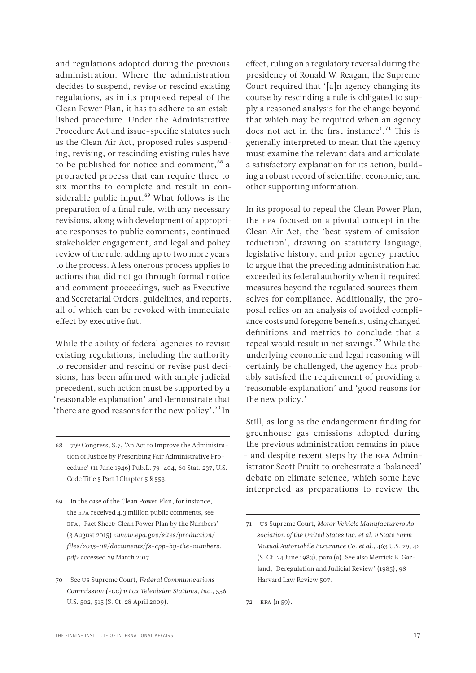and regulations adopted during the previous administration. Where the administration decides to suspend, revise or rescind existing regulations, as in its proposed repeal of the Clean Power Plan, it has to adhere to an established procedure. Under the Administrative Procedure Act and issue-specific statutes such as the Clean Air Act, proposed rules suspending, revising, or rescinding existing rules have to be published for notice and comment,<sup>68</sup> a protracted process that can require three to six months to complete and result in considerable public input.<sup>69</sup> What follows is the preparation of a final rule, with any necessary revisions, along with development of appropriate responses to public comments, continued stakeholder engagement, and legal and policy review of the rule, adding up to two more years to the process. A less onerous process applies to actions that did not go through formal notice and comment proceedings, such as Executive and Secretarial Orders, guidelines, and reports, all of which can be revoked with immediate effect by executive fiat.

While the ability of federal agencies to revisit existing regulations, including the authority to reconsider and rescind or revise past decisions, has been affirmed with ample judicial precedent, such action must be supported by a 'reasonable explanation' and demonstrate that 'there are good reasons for the new policy'.70 In

effect, ruling on a regulatory reversal during the presidency of Ronald W. Reagan, the Supreme Court required that '[a]n agency changing its course by rescinding a rule is obligated to supply a reasoned analysis for the change beyond that which may be required when an agency does not act in the first instance'.<sup>71</sup> This is generally interpreted to mean that the agency must examine the relevant data and articulate a satisfactory explanation for its action, building a robust record of scientific, economic, and other supporting information.

In its proposal to repeal the Clean Power Plan, the EPA focused on a pivotal concept in the Clean Air Act, the 'best system of emission reduction', drawing on statutory language, legislative history, and prior agency practice to argue that the preceding administration had exceeded its federal authority when it required measures beyond the regulated sources themselves for compliance. Additionally, the proposal relies on an analysis of avoided compliance costs and foregone benefits, using changed definitions and metrics to conclude that a repeal would result in net savings.<sup>72</sup> While the underlying economic and legal reasoning will certainly be challenged, the agency has probably satisfied the requirement of providing a 'reasonable explanation' and 'good reasons for the new policy.'

Still, as long as the endangerment finding for greenhouse gas emissions adopted during the previous administration remains in place – and despite recent steps by the EPA Administrator Scott Pruitt to orchestrate a 'balanced' debate on climate science, which some have interpreted as preparations to review the

<sup>68 79</sup>th Congress, S.7, 'An Act to Improve the Administration of Justice by Prescribing Fair Administrative Procedure' (11 June 1946) Pub.L. 79–404, 60 Stat. 237, U.S. Code Title 5 Part I Chapter 5 § 553.

<sup>69</sup> In the case of the Clean Power Plan, for instance, the EPA received 4.3 million public comments, see EPA, 'Fact Sheet: Clean Power Plan by the Numbers' (3 August 2015) <*[www.epa.gov/sites/production/](file:///C:\Users\antto.vihma\Downloads\www.epa.gov\sites\production\files\2015-08\documents\fs-cpp-by-the-numbers.pdf) [files/2015-08/documents/fs-cpp-by-the-numbers.](file:///C:\Users\antto.vihma\Downloads\www.epa.gov\sites\production\files\2015-08\documents\fs-cpp-by-the-numbers.pdf) [pdf](file:///C:\Users\antto.vihma\Downloads\www.epa.gov\sites\production\files\2015-08\documents\fs-cpp-by-the-numbers.pdf)*> accessed 29 March 2017.

<sup>70</sup> See US Supreme Court, *Federal Communications Commission (FCC) v Fox Television Stations, Inc.*, 556 U.S. 502, 515 (S. Ct. 28 April 2009).

<sup>71</sup> US Supreme Court, *Motor Vehicle Manufacturers Association of the United States Inc. et al. v State Farm Mutual Automobile Insurance Co. et al.*, 463 U.S. 29, 42 (S. Ct. 24 June 1983), para (a). See also Merrick B. Garland, 'Deregulation and Judicial Review' (1985), 98 Harvard Law Review 507.

<sup>72</sup> EPA (n 59).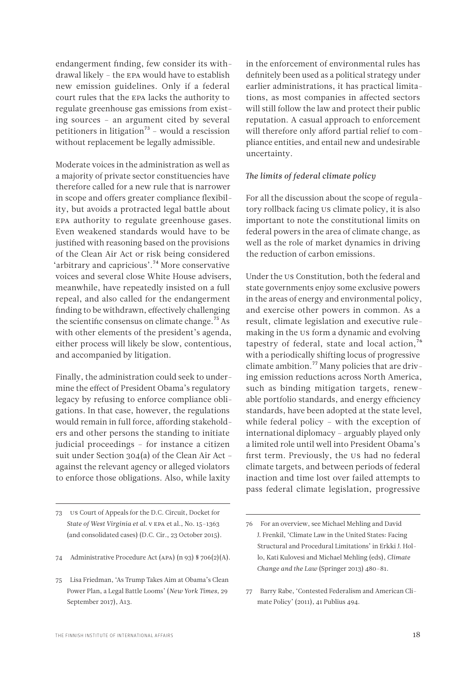endangerment finding, few consider its withdrawal likely – the EPA would have to establish new emission guidelines. Only if a federal court rules that the EPA lacks the authority to regulate greenhouse gas emissions from existing sources – an argument cited by several petitioners in litigation<sup>73</sup> – would a rescission without replacement be legally admissible.

Moderate voices in the administration as well as a majority of private sector constituencies have therefore called for a new rule that is narrower in scope and offers greater compliance flexibility, but avoids a protracted legal battle about EPA authority to regulate greenhouse gases. Even weakened standards would have to be justified with reasoning based on the provisions of the Clean Air Act or risk being considered 'arbitrary and capricious'.74 More conservative voices and several close White House advisers, meanwhile, have repeatedly insisted on a full repeal, and also called for the endangerment finding to be withdrawn, effectively challenging the scientific consensus on climate change.<sup>75</sup> As with other elements of the president's agenda, either process will likely be slow, contentious, and accompanied by litigation.

Finally, the administration could seek to undermine the effect of President Obama's regulatory legacy by refusing to enforce compliance obligations. In that case, however, the regulations would remain in full force, affording stakeholders and other persons the standing to initiate judicial proceedings – for instance a citizen suit under Section 304(a) of the Clean Air Act – against the relevant agency or alleged violators to enforce those obligations. Also, while laxity

in the enforcement of environmental rules has definitely been used as a political strategy under earlier administrations, it has practical limitations, as most companies in affected sectors will still follow the law and protect their public reputation. A casual approach to enforcement will therefore only afford partial relief to compliance entities, and entail new and undesirable uncertainty.

# *The limits of federal climate policy*

For all the discussion about the scope of regulatory rollback facing US climate policy, it is also important to note the constitutional limits on federal powers in the area of climate change, as well as the role of market dynamics in driving the reduction of carbon emissions.

Under the US Constitution, both the federal and state governments enjoy some exclusive powers in the areas of energy and environmental policy, and exercise other powers in common. As a result, climate legislation and executive rulemaking in the US form a dynamic and evolving tapestry of federal, state and local action, $76$ with a periodically shifting locus of progressive climate ambition.77 Many policies that are driving emission reductions across North America, such as binding mitigation targets, renewable portfolio standards, and energy efficiency standards, have been adopted at the state level, while federal policy – with the exception of international diplomacy – arguably played only a limited role until well into President Obama's first term. Previously, the US had no federal climate targets, and between periods of federal inaction and time lost over failed attempts to pass federal climate legislation, progressive

<sup>73</sup> US Court of Appeals for the D.C. Circuit, Docket for *State of West Virginia et al.* v EPA et al., No. 15–1363 (and consolidated cases) (D.C. Cir., 23 October 2015).

<sup>74</sup> Administrative Procedure Act (APA) (n 93) § 706(2)(A).

<sup>75</sup> Lisa Friedman, 'As Trump Takes Aim at Obama's Clean Power Plan, a Legal Battle Looms' (*New York Times,* 29 September 2017), A13.

<sup>76</sup> For an overview, see Michael Mehling and David J. Frenkil, 'Climate Law in the United States: Facing Structural and Procedural Limitations' in Erkki J. Hollo, Kati Kulovesi and Michael Mehling (eds), *Climate Change and the Law* (Springer 2013) 480–81.

<sup>77</sup> Barry Rabe, 'Contested Federalism and American Climate Policy' (2011), 41 Publius 494.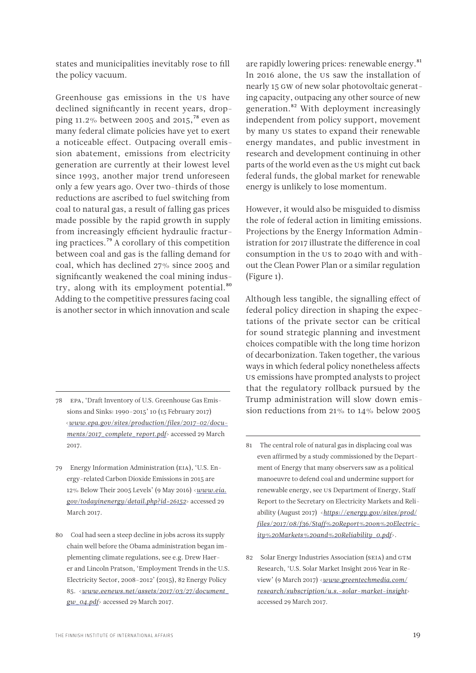states and municipalities inevitably rose to fill the policy vacuum.

Greenhouse gas emissions in the US have declined significantly in recent years, dropping 11.2% between 2005 and 2015,<sup>78</sup> even as many federal climate policies have yet to exert a noticeable effect. Outpacing overall emission abatement, emissions from electricity generation are currently at their lowest level since 1993, another major trend unforeseen only a few years ago. Over two-thirds of those reductions are ascribed to fuel switching from coal to natural gas, a result of falling gas prices made possible by the rapid growth in supply from increasingly efficient hydraulic fracturing practices.79 A corollary of this competition between coal and gas is the falling demand for coal, which has declined 27% since 2005 and significantly weakened the coal mining industry, along with its employment potential.<sup>80</sup> Adding to the competitive pressures facing coal is another sector in which innovation and scale

- 78 EPA, 'Draft Inventory of U.S. Greenhouse Gas Emissions and Sinks: 1990–2015' 10 (15 February 2017) <*[www.epa.gov/sites/production/files/2017-02/docu](file:///C:\Users\antto.vihma\Downloads\www.epa.gov\sites\production\files\2017-02\documents\2017_complete_report.pdf)[ments/2017\\_complete\\_report.pdf](file:///C:\Users\antto.vihma\Downloads\www.epa.gov\sites\production\files\2017-02\documents\2017_complete_report.pdf)*> accessed 29 March 2017.
- 79 Energy Information Administration (EIA), 'U.S. Energy-related Carbon Dioxide Emissions in 2015 are 12% Below Their 2005 Levels' (9 May 2016) <*[www.eia.](file:///C:\Users\antto.vihma\Downloads\www.eia.gov\todayinenergy\detail.php%3fid=26152) [gov/todayinenergy/detail.php?id=26152](file:///C:\Users\antto.vihma\Downloads\www.eia.gov\todayinenergy\detail.php%3fid=26152)*> accessed 29 March 2017.
- 80 Coal had seen a steep decline in jobs across its supply chain well before the Obama administration began implementing climate regulations, see e.g. Drew Haerer and Lincoln Pratson, 'Employment Trends in the U.S. Electricity Sector, 2008–2012' (2015), 82 Energy Policy 85. <*[www.eenews.net/assets/2017/03/27/document\\_](file:///C:\Users\antto.vihma\Downloads\www.eenews.net\assets\2017\03\27\document_gw_04.pdf) [gw\\_04.pdf](file:///C:\Users\antto.vihma\Downloads\www.eenews.net\assets\2017\03\27\document_gw_04.pdf)*> accessed 29 March 2017.

are rapidly lowering prices: renewable energy.<sup>81</sup> In 2016 alone, the US saw the installation of nearly 15 GW of new solar photovoltaic generating capacity, outpacing any other source of new generation.<sup>82</sup> With deployment increasingly independent from policy support, movement by many US states to expand their renewable energy mandates, and public investment in research and development continuing in other parts of the world even as the US might cut back federal funds, the global market for renewable energy is unlikely to lose momentum.

However, it would also be misguided to dismiss the role of federal action in limiting emissions. Projections by the Energy Information Administration for 2017 illustrate the difference in coal consumption in the US to 2040 with and without the Clean Power Plan or a similar regulation (Figure 1).

Although less tangible, the signalling effect of federal policy direction in shaping the expectations of the private sector can be critical for sound strategic planning and investment choices compatible with the long time horizon of decarbonization. Taken together, the various ways in which federal policy nonetheless affects US emissions have prompted analysts to project that the regulatory rollback pursued by the Trump administration will slow down emission reductions from 21% to 14% below 2005

<sup>81</sup> The central role of natural gas in displacing coal was even affirmed by a study commissioned by the Department of Energy that many observers saw as a political manoeuvre to defend coal and undermine support for renewable energy, see US Department of Energy, Staff Report to the Secretary on Electricity Markets and Reliability (August 2017) <*[https://energy.gov/sites/prod/](https://energy.gov/sites/prod/files/2017/08/f36/Staff%20Report%20on%20Electricity%20Markets%20and%20Reliability_0.pdf) [files/2017/08/f36/Staff%20Report%20on%20Electric](https://energy.gov/sites/prod/files/2017/08/f36/Staff%20Report%20on%20Electricity%20Markets%20and%20Reliability_0.pdf)[ity%20Markets%20and%20Reliability\\_0.pdf](https://energy.gov/sites/prod/files/2017/08/f36/Staff%20Report%20on%20Electricity%20Markets%20and%20Reliability_0.pdf)*>.

<sup>82</sup> Solar Energy Industries Association (SEIA) and GTM Research, 'U.S. Solar Market Insight 2016 Year in Review' (9 March 2017) <*[www.greentechmedia.com/](file:///C:\Users\antto.vihma\Downloads\www.greentechmedia.com\research\subscription\u.s.-solar-market-insight) [research/subscription/u.s.-solar-market-insight](file:///C:\Users\antto.vihma\Downloads\www.greentechmedia.com\research\subscription\u.s.-solar-market-insight)*> accessed 29 March 2017.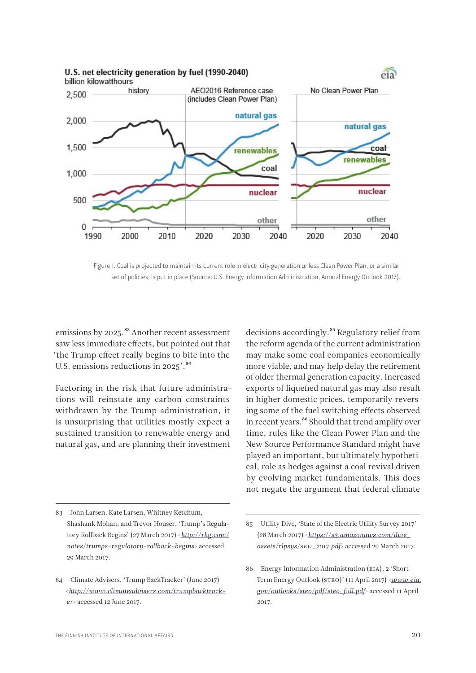

Figure 1. Coal is projected to maintain its current role in electricity generation unless Clean Power Plan, or a similar set of policies, is put in place (Source: U.S. Energy Information Administration, Annual Energy Outlook 2017).

emissions by 2025.<sup>83</sup> Another recent assessment saw less immediate effects, but pointed out that 'the Trump effect really begins to bite into the U.S. emissions reductions in 2025'.<sup>84</sup>

Factoring in the risk that future administrations will reinstate any carbon constraints withdrawn by the Trump administration, it is unsurprising that utilities mostly expect a sustained transition to renewable energy and natural gas, and are planning their investment

83 John Larsen, Kate Larsen, Whitney Ketchum, Shashank Mohan, and Trevor Houser, 'Trump's Regulatory Rollback Begins' (27 March 2017) <*[http://rhg.com/](http://rhg.com/notes/trumps-regulatory-rollback-begins) [notes/trumps-regulatory-rollback-begins](http://rhg.com/notes/trumps-regulatory-rollback-begins)*> accessed 29 March 2017.

decisions accordingly.<sup>85</sup> Regulatory relief from the reform agenda of the current administration may make some coal companies economically more viable, and may help delay the retirement of older thermal generation capacity. Increased exports of liquefied natural gas may also result in higher domestic prices, temporarily reversing some of the fuel switching effects observed in recent years.<sup>86</sup> Should that trend amplify over time, rules like the Clean Power Plan and the New Source Performance Standard might have played an important, but ultimately hypothetical, role as hedges against a coal revival driven by evolving market fundamentals. This does not negate the argument that federal climate

<sup>84</sup> Climate Advisers, 'Trump BackTracker' (June 2017) <*[http://www.climateadvisers.com/trumpbacktrack](http://www.climateadvisers.com/trumpbacktracker)[er](http://www.climateadvisers.com/trumpbacktracker)*> accessed 12 June 2017.

<sup>85</sup> Utility Dive, 'State of the Electric Utility Survey 2017' (28 March 2017) <*[https://s3.amazonaws.com/dive\\_](https://s3.amazonaws.com/dive_assets/rlpsys/SEU_2017.pdf) [assets/rlpsys/SEU\\_2017.pdf](https://s3.amazonaws.com/dive_assets/rlpsys/SEU_2017.pdf)*> accessed 29 March 2017.

<sup>86</sup> Energy Information Administration (EIA), 2 'Short-Term Energy Outlook (STEO)' (11 April 2017) <*[www.eia.](file:///C:\Users\antto.vihma\Downloads\www.eia.gov\outlooks\steo\pdf\steo_full.pdf) [gov/outlooks/steo/pdf/steo\\_full.pdf](file:///C:\Users\antto.vihma\Downloads\www.eia.gov\outlooks\steo\pdf\steo_full.pdf)*> accessed 11 April 2017.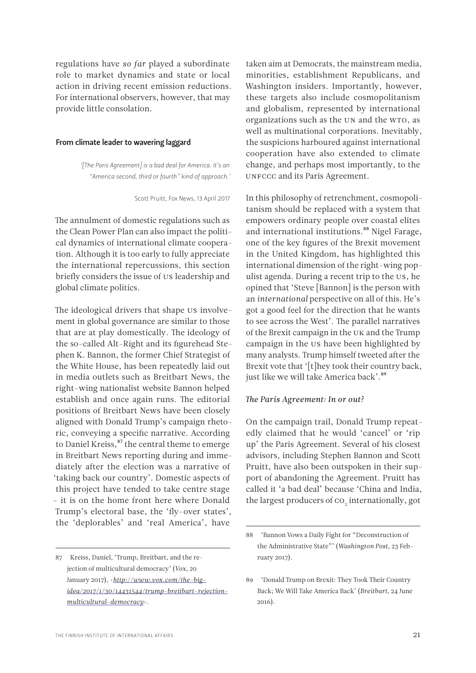<span id="page-20-0"></span>regulations have *so far* played a subordinate role to market dynamics and state or local action in driving recent emission reductions. For international observers, however, that may provide little consolation.

#### From climate leader to wavering laggard

*'[The Paris Agreement] is a bad deal for America. It's an "America second, third or fourth" kind of approach.'*

Scott Pruitt, Fox News, 13 April 2017

The annulment of domestic regulations such as the Clean Power Plan can also impact the political dynamics of international climate cooperation. Although it is too early to fully appreciate the international repercussions, this section briefly considers the issue of US leadership and global climate politics.

The ideological drivers that shape US involvement in global governance are similar to those that are at play domestically. The ideology of the so-called Alt-Right and its figurehead Stephen K. Bannon, the former Chief Strategist of the White House, has been repeatedly laid out in media outlets such as Breitbart News, the right-wing nationalist website Bannon helped establish and once again runs. The editorial positions of Breitbart News have been closely aligned with Donald Trump's campaign rhetoric, conveying a specific narrative. According to Daniel Kreiss,<sup>87</sup> the central theme to emerge in Breitbart News reporting during and immediately after the election was a narrative of 'taking back our country'. Domestic aspects of this project have tended to take centre stage – it is on the home front here where Donald Trump's electoral base, the 'fly-over states', the 'deplorables' and 'real America', have

87 Kreiss, Daniel, 'Trump, Breitbart, and the rejection of multicultural democracy' (*Vox*, 20 January 2017), <*[http://www.vox.com/the-big](http://www.vox.com/the-big-idea/2017/1/30/14431544/trump-breitbart-rejection-multicultural-democracy)[idea/2017/1/30/14431544/trump-breitbart-rejection](http://www.vox.com/the-big-idea/2017/1/30/14431544/trump-breitbart-rejection-multicultural-democracy)[multicultural-democracy](http://www.vox.com/the-big-idea/2017/1/30/14431544/trump-breitbart-rejection-multicultural-democracy)*>.

taken aim at Democrats, the mainstream media, minorities, establishment Republicans, and Washington insiders. Importantly, however, these targets also include cosmopolitanism and globalism, represented by international organizations such as the UN and the WTO, as well as multinational corporations. Inevitably, the suspicions harboured against international cooperation have also extended to climate change, and perhaps most importantly, to the UNFCCC and its Paris Agreement.

In this philosophy of retrenchment, cosmopolitanism should be replaced with a system that empowers ordinary people over coastal elites and international institutions.<sup>88</sup> Nigel Farage, one of the key figures of the Brexit movement in the United Kingdom, has highlighted this international dimension of the right-wing populist agenda. During a recent trip to the US, he opined that 'Steve [Bannon] is the person with an *international* perspective on all of this. He's got a good feel for the direction that he wants to see across the West'. The parallel narratives of the Brexit campaign in the UK and the Trump campaign in the US have been highlighted by many analysts. Trump himself tweeted after the Brexit vote that '[t]hey took their country back, just like we will take America back'.<sup>89</sup>

### *The Paris Agreement: In or out?*

On the campaign trail, Donald Trump repeatedly claimed that he would 'cancel' or 'rip up' the Paris Agreement. Several of his closest advisors, including Stephen Bannon and Scott Pruitt, have also been outspoken in their support of abandoning the Agreement. Pruitt has called it 'a bad deal' because 'China and India, the largest producers of  $\mathrm{co}_\textcolor{red}{_2}$  internationally, got

<sup>88 &#</sup>x27;Bannon Vows a Daily Fight for "Deconstruction of the Administrative State"' (*Washington Post*, 23 February 2017).

<sup>89 &#</sup>x27;Donald Trump on Brexit: They Took Their Country Back; We Will Take America Back' (*Breitbart*, 24 June 2016).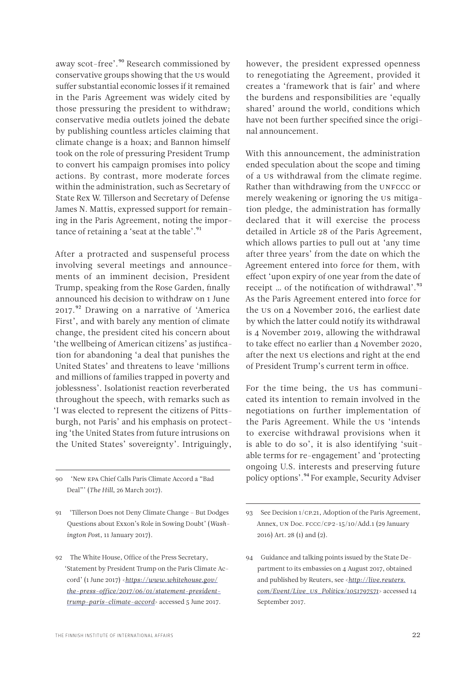away scot-free'.<sup>90</sup> Research commissioned by conservative groups showing that the US would suffer substantial economic losses if it remained in the Paris Agreement was widely cited by those pressuring the president to withdraw; conservative media outlets joined the debate by publishing countless articles claiming that climate change is a hoax; and Bannon himself took on the role of pressuring President Trump to convert his campaign promises into policy actions. By contrast, more moderate forces within the administration, such as Secretary of State Rex W. Tillerson and Secretary of Defense James N. Mattis, expressed support for remaining in the Paris Agreement, noting the importance of retaining a 'seat at the table'.<sup>91</sup>

After a protracted and suspenseful process involving several meetings and announcements of an imminent decision, President Trump, speaking from the Rose Garden, finally announced his decision to withdraw on 1 June 2017.<sup>92</sup> Drawing on a narrative of 'America First', and with barely any mention of climate change, the president cited his concern about 'the wellbeing of American citizens' as justification for abandoning 'a deal that punishes the United States' and threatens to leave 'millions and millions of families trapped in poverty and joblessness'. Isolationist reaction reverberated throughout the speech, with remarks such as 'I was elected to represent the citizens of Pittsburgh, not Paris' and his emphasis on protecting 'the United States from future intrusions on the United States' sovereignty'. Intriguingly,

90 'New EPA Chief Calls Paris Climate Accord a "Bad Deal"' (*The Hill*, 26 March 2017).

91 'Tillerson Does not Deny Climate Change – But Dodges Questions about Exxon's Role in Sowing Doubt' (*Washington Pos*t, 11 January 2017).

92 The White House, Office of the Press Secretary, 'Statement by President Trump on the Paris Climate Accord' (1 June 2017) <*[https://www.whitehouse.gov/](https://www.whitehouse.gov/the-press-office/2017/06/01/statement-president-trump-paris-climate-accord) [the-press-office/2017/06/01/statement-president](https://www.whitehouse.gov/the-press-office/2017/06/01/statement-president-trump-paris-climate-accord)[trump-paris-climate-accord](https://www.whitehouse.gov/the-press-office/2017/06/01/statement-president-trump-paris-climate-accord)*> accessed 5 June 2017.

however, the president expressed openness to renegotiating the Agreement, provided it creates a 'framework that is fair' and where the burdens and responsibilities are 'equally shared' around the world, conditions which have not been further specified since the original announcement.

With this announcement, the administration ended speculation about the scope and timing of a US withdrawal from the climate regime. Rather than withdrawing from the UNFCCC or merely weakening or ignoring the US mitigation pledge, the administration has formally declared that it will exercise the process detailed in Article 28 of the Paris Agreement, which allows parties to pull out at 'any time after three years' from the date on which the Agreement entered into force for them, with effect 'upon expiry of one year from the date of receipt ... of the notification of withdrawal'.<sup>93</sup> As the Paris Agreement entered into force for the US on 4 November 2016, the earliest date by which the latter could notify its withdrawal is 4 November 2019, allowing the withdrawal to take effect no earlier than 4 November 2020, after the next US elections and right at the end of President Trump's current term in office.

For the time being, the US has communicated its intention to remain involved in the negotiations on further implementation of the Paris Agreement. While the US 'intends to exercise withdrawal provisions when it is able to do so', it is also identifying 'suitable terms for re-engagement' and 'protecting ongoing U.S. interests and preserving future policy options'.94 For example, Security Adviser

<sup>93</sup> See Decision 1/CP.21, Adoption of the Paris Agreement, Annex, UN Doc. FCCC/CP2-15/10/Add.1 (29 January 2016) Art. 28 (1) and (2).

<sup>94</sup> Guidance and talking points issued by the State Department to its embassies on 4 August 2017, obtained and published by Reuters, see <*[http://live.reuters.](http://live.reuters.com/Event/Live_US_Politics/1051797571) [com/Event/Live\\_US\\_Politics/1051797571](http://live.reuters.com/Event/Live_US_Politics/1051797571)*> accessed 14 September 2017.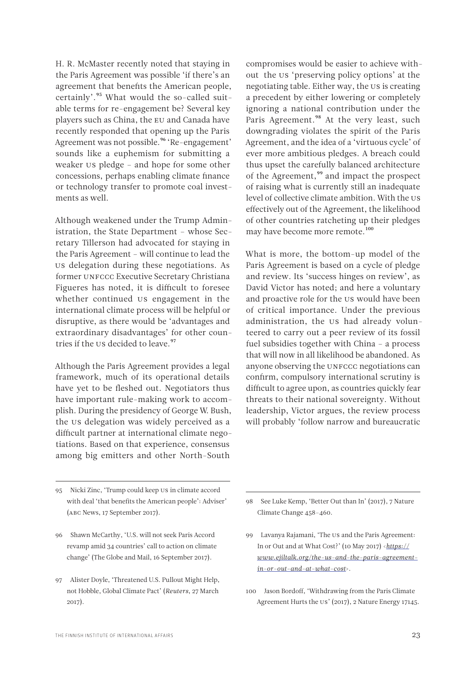H. R. McMaster recently noted that staying in the Paris Agreement was possible 'if there's an agreement that benefits the American people, certainly'.<sup>95</sup> What would the so-called suitable terms for re-engagement be? Several key players such as China, the EU and Canada have recently responded that opening up the Paris Agreement was not possible.<sup>96</sup> 'Re-engagement' sounds like a euphemism for submitting a weaker US pledge – and hope for some other concessions, perhaps enabling climate finance or technology transfer to promote coal investments as well.

Although weakened under the Trump Administration, the State Department – whose Secretary Tillerson had advocated for staying in the Paris Agreement – will continue to lead the US delegation during these negotiations. As former UNFCCC Executive Secretary Christiana Figueres has noted, it is difficult to foresee whether continued US engagement in the international climate process will be helpful or disruptive, as there would be 'advantages and extraordinary disadvantages' for other countries if the US decided to leave.<sup>97</sup>

Although the Paris Agreement provides a legal framework, much of its operational details have yet to be fleshed out. Negotiators thus have important rule-making work to accomplish. During the presidency of George W. Bush, the US delegation was widely perceived as a difficult partner at international climate negotiations. Based on that experience, consensus among big emitters and other North-South

95 Nicki Zinc, 'Trump could keep US in climate accord with deal 'that benefits the American people': Adviser' (ABC News, 17 September 2017).

96 Shawn McCarthy, 'U.S. will not seek Paris Accord revamp amid 34 countries' call to action on climate change' (The Globe and Mail, 16 September 2017).

97 Alister Doyle, 'Threatened U.S. Pullout Might Help, not Hobble, Global Climate Pact' (*Reuters*, 27 March 2017).

compromises would be easier to achieve without the US 'preserving policy options' at the negotiating table. Either way, the US is creating a precedent by either lowering or completely ignoring a national contribution under the Paris Agreement.<sup>98</sup> At the very least, such downgrading violates the spirit of the Paris Agreement, and the idea of a 'virtuous cycle' of ever more ambitious pledges. A breach could thus upset the carefully balanced architecture of the Agreement,<sup>99</sup> and impact the prospect of raising what is currently still an inadequate level of collective climate ambition. With the US effectively out of the Agreement, the likelihood of other countries ratcheting up their pledges may have become more remote.<sup>100</sup>

What is more, the bottom-up model of the Paris Agreement is based on a cycle of pledge and review. Its 'success hinges on review', as David Victor has noted; and here a voluntary and proactive role for the US would have been of critical importance. Under the previous administration, the US had already volunteered to carry out a peer review of its fossil fuel subsidies together with China – a process that will now in all likelihood be abandoned. As anyone observing the UNFCCC negotiations can confirm, compulsory international scrutiny is difficult to agree upon, as countries quickly fear threats to their national sovereignty. Without leadership, Victor argues, the review process will probably 'follow narrow and bureaucratic

98 See Luke Kemp, 'Better Out than In' (2017), 7 Nature Climate Change 458–460.

- 99 Lavanya Rajamani, 'The US and the Paris Agreement: In or Out and at What Cost?' (10 May 2017) <*[https://](https://www.ejiltalk.org/the-us-and-the-paris-agreement-in-or-out-and-at-what-cost) [www.ejiltalk.org/the-us-and-the-paris-agreement](https://www.ejiltalk.org/the-us-and-the-paris-agreement-in-or-out-and-at-what-cost)[in-or-out-and-at-what-cost](https://www.ejiltalk.org/the-us-and-the-paris-agreement-in-or-out-and-at-what-cost)*>.
- 100 Jason Bordoff, 'Withdrawing from the Paris Climate Agreement Hurts the US' (2017), 2 Nature Energy 17145.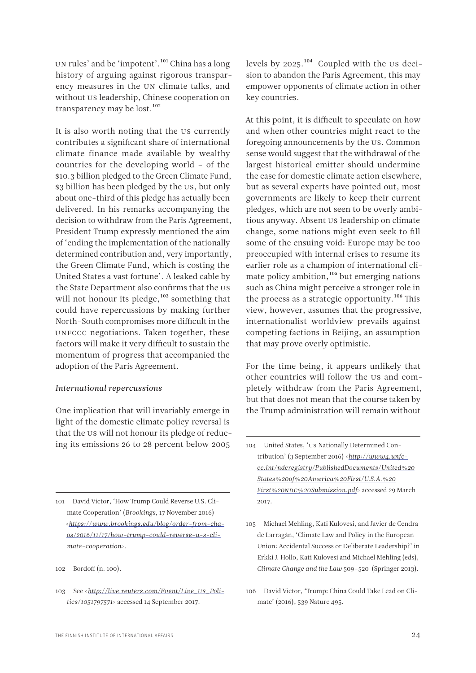UN rules' and be 'impotent'.<sup>101</sup> China has a long history of arguing against rigorous transparency measures in the UN climate talks, and without US leadership, Chinese cooperation on transparency may be lost.<sup>102</sup>

It is also worth noting that the US currently contributes a significant share of international climate finance made available by wealthy countries for the developing world – of the \$10.3 billion pledged to the Green Climate Fund, \$3 billion has been pledged by the US, but only about one-third of this pledge has actually been delivered. In his remarks accompanying the decision to withdraw from the Paris Agreement, President Trump expressly mentioned the aim of 'ending the implementation of the nationally determined contribution and, very importantly, the Green Climate Fund, which is costing the United States a vast fortune'. A leaked cable by the State Department also confirms that the US will not honour its pledge, $103$  something that could have repercussions by making further North-South compromises more difficult in the UNFCCC negotiations. Taken together, these factors will make it very difficult to sustain the momentum of progress that accompanied the adoption of the Paris Agreement.

# *International repercussions*

One implication that will invariably emerge in light of the domestic climate policy reversal is that the US will not honour its pledge of reducing its emissions 26 to 28 percent below 2005

101 David Victor, 'How Trump Could Reverse U.S. Climate Cooperation' (*Brookings*, 17 November 2016) <*[https://www.brookings.edu/blog/order-from-cha](https://www.brookings.edu/blog/order-from-chaos/2016/11/17/how-trump-could-reverse-u-s-climate-cooperation)[os/2016/11/17/how-trump-could-reverse-u-s-cli](https://www.brookings.edu/blog/order-from-chaos/2016/11/17/how-trump-could-reverse-u-s-climate-cooperation)[mate-cooperation](https://www.brookings.edu/blog/order-from-chaos/2016/11/17/how-trump-could-reverse-u-s-climate-cooperation)*>.

levels by 2025.<sup>104</sup> Coupled with the US decision to abandon the Paris Agreement, this may empower opponents of climate action in other key countries.

At this point, it is difficult to speculate on how and when other countries might react to the foregoing announcements by the US. Common sense would suggest that the withdrawal of the largest historical emitter should undermine the case for domestic climate action elsewhere, but as several experts have pointed out, most governments are likely to keep their current pledges, which are not seen to be overly ambitious anyway. Absent US leadership on climate change, some nations might even seek to fill some of the ensuing void: Europe may be too preoccupied with internal crises to resume its earlier role as a champion of international climate policy ambition, $105$  but emerging nations such as China might perceive a stronger role in the process as a strategic opportunity.<sup>106</sup> This view, however, assumes that the progressive, internationalist worldview prevails against competing factions in Beijing, an assumption that may prove overly optimistic.

For the time being, it appears unlikely that other countries will follow the US and completely withdraw from the Paris Agreement, but that does not mean that the course taken by the Trump administration will remain without

<sup>102</sup> Bordoff (n. 100).

<sup>103</sup> See <*[http://live.reuters.com/Event/Live\\_US\\_Poli](http://live.reuters.com/Event/Live_US_Politics/1051797571)[tics/1051797571](http://live.reuters.com/Event/Live_US_Politics/1051797571)*> accessed 14 September 2017.

<sup>104</sup> United States, 'US Nationally Determined Contribution' (3 September 2016) <*[http://www4.unfc](http://www4.unfccc.int/ndcregistry/PublishedDocuments/United%20States%20of%20America%20First/U.S.A.%20First%20NDC%20Submission.pdf)[cc.int/ndcregistry/PublishedDocuments/United%20](http://www4.unfccc.int/ndcregistry/PublishedDocuments/United%20States%20of%20America%20First/U.S.A.%20First%20NDC%20Submission.pdf) [States%20of%20America%20First/U.S.A.%20](http://www4.unfccc.int/ndcregistry/PublishedDocuments/United%20States%20of%20America%20First/U.S.A.%20First%20NDC%20Submission.pdf) [First%20NDC%20Submission.pdf](http://www4.unfccc.int/ndcregistry/PublishedDocuments/United%20States%20of%20America%20First/U.S.A.%20First%20NDC%20Submission.pdf)*> accessed 29 March 2017.

<sup>105</sup> Michael Mehling, Kati Kulovesi, and Javier de Cendra de Larragán, 'Climate Law and Policy in the European Union: Accidental Success or Deliberate Leadership?' in Erkki J. Hollo, Kati Kulovesi and Michael Mehling (eds), *Climate Change and the Law* 509–520 (Springer 2013).

<sup>106</sup> David Victor, 'Trump: China Could Take Lead on Climate' (2016), 539 Nature 495.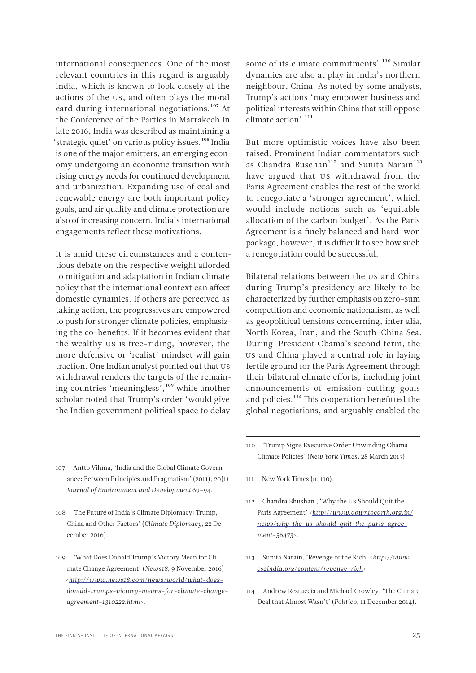international consequences. One of the most relevant countries in this regard is arguably India, which is known to look closely at the actions of the US, and often plays the moral card during international negotiations.<sup>107</sup> At the Conference of the Parties in Marrakech in late 2016, India was described as maintaining a 'strategic quiet' on various policy issues.<sup>108</sup> India is one of the major emitters, an emerging economy undergoing an economic transition with rising energy needs for continued development and urbanization. Expanding use of coal and renewable energy are both important policy goals, and air quality and climate protection are also of increasing concern. India's international engagements reflect these motivations.

It is amid these circumstances and a contentious debate on the respective weight afforded to mitigation and adaptation in Indian climate policy that the international context can affect domestic dynamics. If others are perceived as taking action, the progressives are empowered to push for stronger climate policies, emphasizing the co-benefits. If it becomes evident that the wealthy US is free-riding, however, the more defensive or 'realist' mindset will gain traction. One Indian analyst pointed out that US withdrawal renders the targets of the remaining countries 'meaningless',<sup>109</sup> while another scholar noted that Trump's order 'would give the Indian government political space to delay

some of its climate commitments'.<sup>110</sup> Similar dynamics are also at play in India's northern neighbour, China. As noted by some analysts, Trump's actions 'may empower business and political interests within China that still oppose climate action'.<sup>111</sup>

But more optimistic voices have also been raised. Prominent Indian commentators such as Chandra Buschan<sup>112</sup> and Sunita Narain<sup>113</sup> have argued that US withdrawal from the Paris Agreement enables the rest of the world to renegotiate a 'stronger agreement', which would include notions such as 'equitable allocation of the carbon budget'. As the Paris Agreement is a finely balanced and hard-won package, however, it is difficult to see how such a renegotiation could be successful.

Bilateral relations between the US and China during Trump's presidency are likely to be characterized by further emphasis on zero-sum competition and economic nationalism, as well as geopolitical tensions concerning, inter alia, North Korea, Iran, and the South-China Sea. During President Obama's second term, the US and China played a central role in laying fertile ground for the Paris Agreement through their bilateral climate efforts, including joint announcements of emission-cutting goals and policies.114 This cooperation benefitted the global negotiations, and arguably enabled the

- 107 Antto Vihma, 'India and the Global Climate Governance: Between Principles and Pragmatism' (2011), 20(1) *Journal of Environment and Development* 69–94.
- 108 'The Future of India's Climate Diplomacy: Trump, China and Other Factors' (*Climate Diplomacy,* 22 December 2016).
- 109 'What Does Donald Trump's Victory Mean for Climate Change Agreement' (*News18*, 9 November 2016) <*[http://www.news18.com/news/world/what-does](http://www.news18.com/news/world/what-does-donald-trumps-victory-means-for-climate-change-agreement-1310222.html)[donald-trumps-victory-means-for-climate-change](http://www.news18.com/news/world/what-does-donald-trumps-victory-means-for-climate-change-agreement-1310222.html)[agreement-1310222.html](http://www.news18.com/news/world/what-does-donald-trumps-victory-means-for-climate-change-agreement-1310222.html)*>.
- 110 'Trump Signs Executive Order Unwinding Obama Climate Policies' (*New York Times,* 28 March 2017).
- 111 New York Times (n. 110).
- 112 Chandra Bhushan, 'Why the US Should Quit the Paris Agreement' <*[http://www.downtoearth.org.in/](http://www.downtoearth.org.in/news/why-the-us-should-quit-the-paris-agreement-56473) [news/why-the-us-should-quit-the-paris-agree](http://www.downtoearth.org.in/news/why-the-us-should-quit-the-paris-agreement-56473)[ment-56473](http://www.downtoearth.org.in/news/why-the-us-should-quit-the-paris-agreement-56473)*>.
- 113 Sunita Narain, 'Revenge of the Rich' <*[http://www.](http://www.cseindia.org/content/revenge-rich) [cseindia.org/content/revenge-rich](http://www.cseindia.org/content/revenge-rich)*>.
- 114 Andrew Restuccia and Michael Crowley, 'The Climate Deal that Almost Wasn't' (*Politico*, 11 December 2014).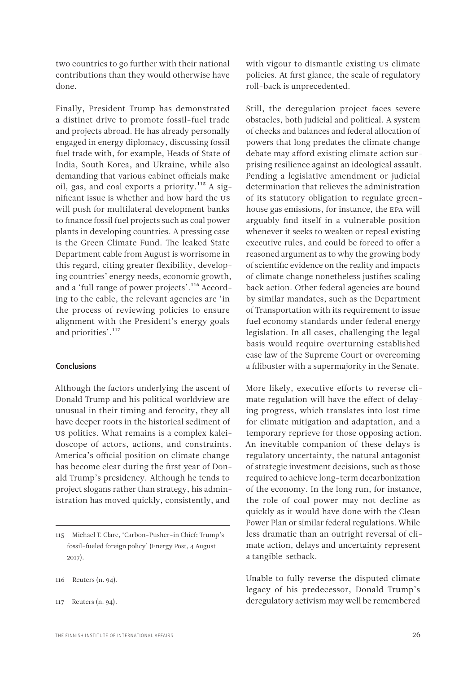<span id="page-25-0"></span>two countries to go further with their national contributions than they would otherwise have done.

Finally, President Trump has demonstrated a distinct drive to promote fossil-fuel trade and projects abroad. He has already personally engaged in energy diplomacy, discussing fossil fuel trade with, for example, Heads of State of India, South Korea, and Ukraine, while also demanding that various cabinet officials make oil, gas, and coal exports a priority.<sup>115</sup> A significant issue is whether and how hard the US will push for multilateral development banks to finance fossil fuel projects such as coal power plants in developing countries. A pressing case is the Green Climate Fund. The leaked State Department cable from August is worrisome in this regard, citing greater flexibility, developing countries' energy needs, economic growth, and a 'full range of power projects'.<sup>116</sup> According to the cable, the relevant agencies are 'in the process of reviewing policies to ensure alignment with the President's energy goals and priorities'.<sup>117</sup>

#### Conclusions

Although the factors underlying the ascent of Donald Trump and his political worldview are unusual in their timing and ferocity, they all have deeper roots in the historical sediment of US politics. What remains is a complex kaleidoscope of actors, actions, and constraints. America's official position on climate change has become clear during the first year of Donald Trump's presidency. Although he tends to project slogans rather than strategy, his administration has moved quickly, consistently, and

- 116 Reuters (n. 94).
- 117 Reuters (n. 94).

with vigour to dismantle existing US climate policies. At first glance, the scale of regulatory roll-back is unprecedented.

Still, the deregulation project faces severe obstacles, both judicial and political. A system of checks and balances and federal allocation of powers that long predates the climate change debate may afford existing climate action surprising resilience against an ideological assault. Pending a legislative amendment or judicial determination that relieves the administration of its statutory obligation to regulate greenhouse gas emissions, for instance, the EPA will arguably find itself in a vulnerable position whenever it seeks to weaken or repeal existing executive rules, and could be forced to offer a reasoned argument as to why the growing body of scientific evidence on the reality and impacts of climate change nonetheless justifies scaling back action. Other federal agencies are bound by similar mandates, such as the Department of Transportation with its requirement to issue fuel economy standards under federal energy legislation. In all cases, challenging the legal basis would require overturning established case law of the Supreme Court or overcoming a filibuster with a supermajority in the Senate.

More likely, executive efforts to reverse climate regulation will have the effect of delaying progress, which translates into lost time for climate mitigation and adaptation, and a temporary reprieve for those opposing action. An inevitable companion of these delays is regulatory uncertainty, the natural antagonist of strategic investment decisions, such as those required to achieve long-term decarbonization of the economy. In the long run, for instance, the role of coal power may not decline as quickly as it would have done with the Clean Power Plan or similar federal regulations. While less dramatic than an outright reversal of climate action, delays and uncertainty represent a tangible setback.

Unable to fully reverse the disputed climate legacy of his predecessor, Donald Trump's deregulatory activism may well be remembered

<sup>115</sup> Michael T. Clare, 'Carbon-Pusher-in Chief: Trump's fossil-fueled foreign policy' (Energy Post, 4 August 2017).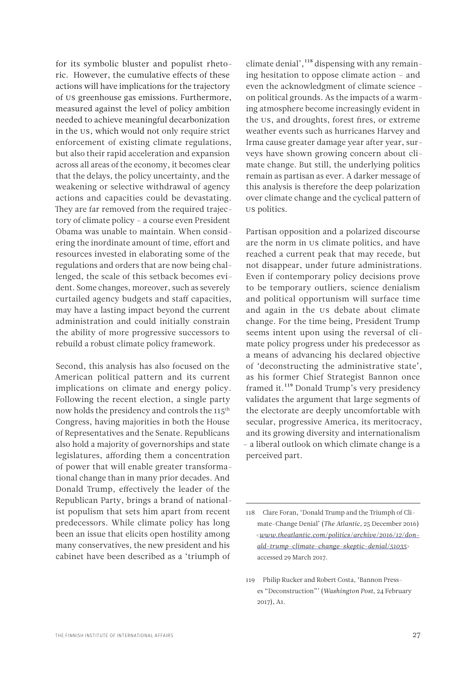for its symbolic bluster and populist rhetoric. However, the cumulative effects of these actions will have implications for the trajectory of US greenhouse gas emissions. Furthermore, measured against the level of policy ambition needed to achieve meaningful decarbonization in the US, which would not only require strict enforcement of existing climate regulations, but also their rapid acceleration and expansion across all areas of the economy, it becomes clear that the delays, the policy uncertainty, and the weakening or selective withdrawal of agency actions and capacities could be devastating. They are far removed from the required trajectory of climate policy – a course even President Obama was unable to maintain. When considering the inordinate amount of time, effort and resources invested in elaborating some of the regulations and orders that are now being challenged, the scale of this setback becomes evident. Some changes, moreover, such as severely curtailed agency budgets and staff capacities, may have a lasting impact beyond the current administration and could initially constrain the ability of more progressive successors to rebuild a robust climate policy framework.

Second, this analysis has also focused on the American political pattern and its current implications on climate and energy policy. Following the recent election, a single party now holds the presidency and controls the 115<sup>th</sup> Congress, having majorities in both the House of Representatives and the Senate. Republicans also hold a majority of governorships and state legislatures, affording them a concentration of power that will enable greater transformational change than in many prior decades. And Donald Trump, effectively the leader of the Republican Party, brings a brand of nationalist populism that sets him apart from recent predecessors. While climate policy has long been an issue that elicits open hostility among many conservatives, the new president and his cabinet have been described as a 'triumph of

climate denial',<sup>118</sup> dispensing with any remaining hesitation to oppose climate action – and even the acknowledgment of climate science – on political grounds. As the impacts of a warming atmosphere become increasingly evident in the US, and droughts, forest fires, or extreme weather events such as hurricanes Harvey and Irma cause greater damage year after year, surveys have shown growing concern about climate change. But still, the underlying politics remain as partisan as ever. A darker message of this analysis is therefore the deep polarization over climate change and the cyclical pattern of US politics.

Partisan opposition and a polarized discourse are the norm in US climate politics, and have reached a current peak that may recede, but not disappear, under future administrations. Even if contemporary policy decisions prove to be temporary outliers, science denialism and political opportunism will surface time and again in the US debate about climate change. For the time being, President Trump seems intent upon using the reversal of climate policy progress under his predecessor as a means of advancing his declared objective of 'deconstructing the administrative state', as his former Chief Strategist Bannon once framed it.119 Donald Trump's very presidency validates the argument that large segments of the electorate are deeply uncomfortable with secular, progressive America, its meritocracy, and its growing diversity and internationalism – a liberal outlook on which climate change is a perceived part.

<sup>118</sup> Clare Foran, 'Donald Trump and the Triumph of Climate-Change Denial' (*The Atlantic*, 25 December 2016) <*[www.theatlantic.com/politics/archive/2016/12/don](file:///C:\Users\antto.vihma\Downloads\www.theatlantic.com\politics\archive\2016\12\donald-trump-climate-change-skeptic-denial\51035)[ald-trump-climate-change-skeptic-denial/51035](file:///C:\Users\antto.vihma\Downloads\www.theatlantic.com\politics\archive\2016\12\donald-trump-climate-change-skeptic-denial\51035)*> accessed 29 March 2017.

<sup>119</sup> Philip Rucker and Robert Costa, 'Bannon Presses "Deconstruction"' (*Washington Post*, 24 February 2017), A1.